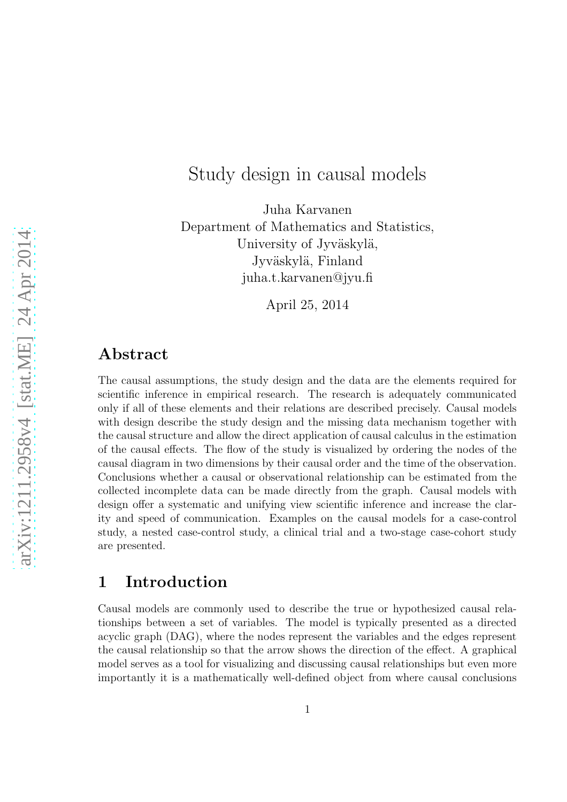# Study design in causal models

Juha Karvanen Department of Mathematics and Statistics, University of Jyväskylä, Jyväskylä, Finland juha.t.karvanen@jyu.fi

April 25, 2014

#### Abstract

The causal assumptions, the study design and the data are the elements required for scientific inference in empirical research. The research is adequately communicated only if all of these elements and their relations are described precisely. Causal models with design describe the study design and the missing data mechanism together with the causal structure and allow the direct application of causal calculus in the estimation of the causal effects. The flow of the study is visualized by ordering the nodes of the causal diagram in two dimensions by their causal order and the time of the observation. Conclusions whether a causal or observational relationship can be estimated from the collected incomplete data can be made directly from the graph. Causal models with design offer a systematic and unifying view scientific inference and increase the clarity and speed of communication. Examples on the causal models for a case-control study, a nested case-control study, a clinical trial and a two-stage case-cohort study are presented.

# 1 Introduction

Causal models are commonly used to describe the true or hypothesized causal relationships between a set of variables. The model is typically presented as a directed acyclic graph (DAG), where the nodes represent the variables and the edges represent the causal relationship so that the arrow shows the direction of the effect. A graphical model serves as a tool for visualizing and discussing causal relationships but even more importantly it is a mathematically well-defined object from where causal conclusions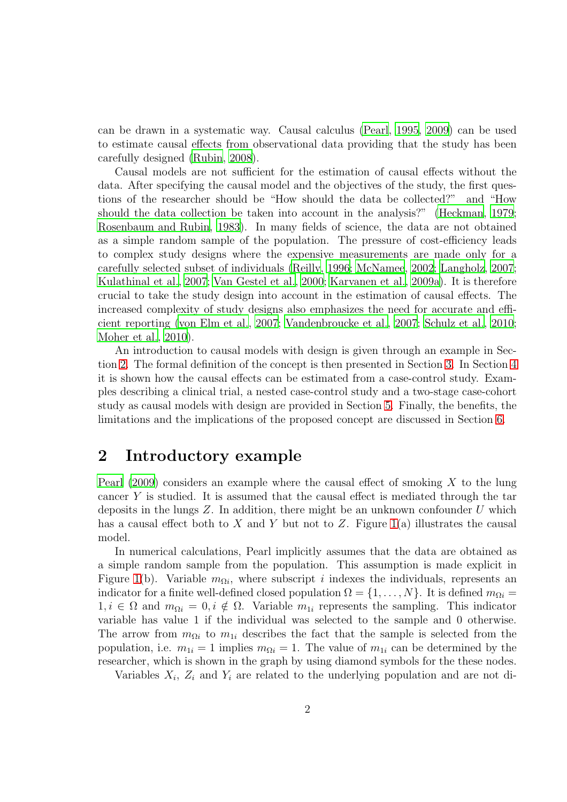can be drawn in a systematic way. Causal calculus [\(Pearl, 1995](#page-22-0), [2009\)](#page-22-1) can be used to estimate causal effects from observational data providing that the study has been carefully designed [\(Rubin, 2008](#page-22-2)).

Causal models are not sufficient for the estimation of causal effects without the data. After specifying the causal model and the objectives of the study, the first questions of the researcher should be "How should the data be collected?" and "How should the data collection be taken into account in the analysis?" [\(Heckman](#page-20-0), [1979](#page-20-0); [Rosenbaum and Rubin, 1983\)](#page-22-3). In many fields of science, the data are not obtained as a simple random sample of the population. The pressure of cost-efficiency leads to complex study designs where the expensive measurements are made only for a carefully selected subset of individuals [\(Reilly](#page-22-4), [1996;](#page-22-4) [McNamee, 2002](#page-21-0); [Langholz, 2007](#page-21-1); [Kulathinal et al.](#page-21-2), [2007](#page-21-2); [Van Gestel et al., 2000;](#page-23-0) [Karvanen et al.](#page-21-3), [2009a](#page-21-3)). It is therefore crucial to take the study design into account in the estimation of causal effects. The increased complexity of study designs also emphasizes the need for accurate and efficient reporting [\(von Elm et al., 2007;](#page-23-1) [Vandenbroucke et al., 2007;](#page-23-2) [Schulz et al., 2010](#page-22-5); [Moher et al., 2010](#page-22-6)).

An introduction to causal models with design is given through an example in Section [2.](#page-1-0) The formal definition of the concept is then presented in Section [3.](#page-3-0) In Section [4](#page-8-0) it is shown how the causal effects can be estimated from a case-control study. Examples describing a clinical trial, a nested case-control study and a two-stage case-cohort study as causal models with design are provided in Section [5.](#page-12-0) Finally, the benefits, the limitations and the implications of the proposed concept are discussed in Section [6.](#page-16-0)

# <span id="page-1-0"></span>2 Introductory example

Pearl  $(2009)$  considers an example where the causal effect of smoking X to the lung cancer Y is studied. It is assumed that the causal effect is mediated through the tar deposits in the lungs  $Z$ . In addition, there might be an unknown confounder  $U$  which has a causal effect both to X and Y but not to Z. Figure  $1(a)$  illustrates the causal model.

In numerical calculations, Pearl implicitly assumes that the data are obtained as a simple random sample from the population. This assumption is made explicit in Figure [1\(](#page-2-0)b). Variable  $m_{\Omega i}$ , where subscript *i* indexes the individuals, represents an indicator for a finite well-defined closed population  $\Omega = \{1, \ldots, N\}$ . It is defined  $m_{\Omega i} =$  $1, i \in \Omega$  and  $m_{\Omega i} = 0, i \notin \Omega$ . Variable  $m_{1i}$  represents the sampling. This indicator variable has value 1 if the individual was selected to the sample and 0 otherwise. The arrow from  $m_{\Omega i}$  to  $m_{1i}$  describes the fact that the sample is selected from the population, i.e.  $m_{1i} = 1$  implies  $m_{\Omega_i} = 1$ . The value of  $m_{1i}$  can be determined by the researcher, which is shown in the graph by using diamond symbols for the these nodes.

Variables  $X_i$ ,  $Z_i$  and  $Y_i$  are related to the underlying population and are not di-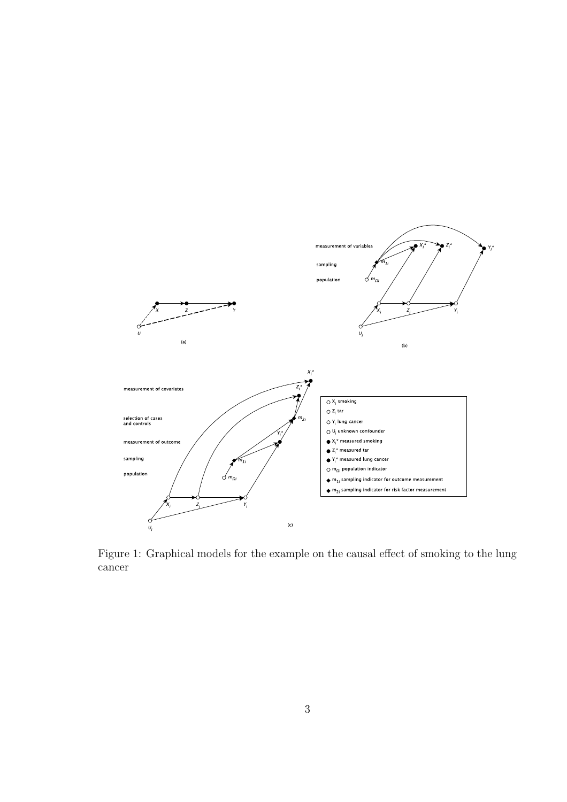

<span id="page-2-0"></span>Figure 1: Graphical models for the example on the causal effect of smoking to the lung cancer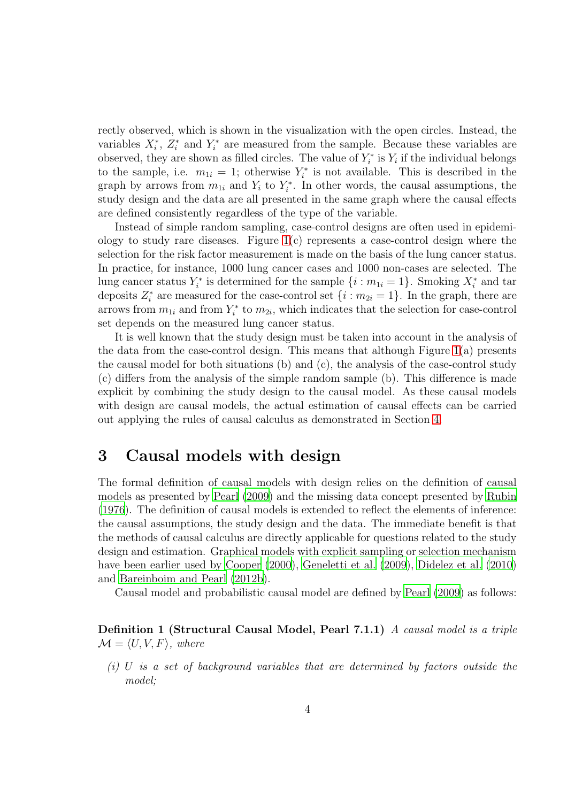rectly observed, which is shown in the visualization with the open circles. Instead, the variables  $X_i^*$ ,  $Z_i^*$  and  $Y_i^*$  are measured from the sample. Because these variables are observed, they are shown as filled circles. The value of  $Y_i^*$  is  $Y_i$  if the individual belongs to the sample, i.e.  $m_{1i} = 1$ ; otherwise  $Y_i^*$  is not available. This is described in the graph by arrows from  $m_{1i}$  and  $Y_i$  to  $Y_i^*$ . In other words, the causal assumptions, the study design and the data are all presented in the same graph where the causal effects are defined consistently regardless of the type of the variable.

Instead of simple random sampling, case-control designs are often used in epidemiology to study rare diseases. Figure  $1(c)$  represents a case-control design where the selection for the risk factor measurement is made on the basis of the lung cancer status. In practice, for instance, 1000 lung cancer cases and 1000 non-cases are selected. The lung cancer status  $Y_i^*$  is determined for the sample  $\{i : m_{1i} = 1\}$ . Smoking  $X_i^*$  and tar deposits  $Z_i^*$  are measured for the case-control set  $\{i : m_{2i} = 1\}$ . In the graph, there are arrows from  $m_{1i}$  and from  $Y_i^*$  to  $m_{2i}$ , which indicates that the selection for case-control set depends on the measured lung cancer status.

It is well known that the study design must be taken into account in the analysis of the data from the case-control design. This means that although Figure  $1(a)$  presents the causal model for both situations (b) and (c), the analysis of the case-control study (c) differs from the analysis of the simple random sample (b). This difference is made explicit by combining the study design to the causal model. As these causal models with design are causal models, the actual estimation of causal effects can be carried out applying the rules of causal calculus as demonstrated in Section [4.](#page-8-0)

# <span id="page-3-0"></span>3 Causal models with design

The formal definition of causal models with design relies on the definition of causal models as presented by [Pearl \(2009](#page-22-1)) and the missing data concept presented by [Rubin](#page-22-7) [\(1976\)](#page-22-7). The definition of causal models is extended to reflect the elements of inference: the causal assumptions, the study design and the data. The immediate benefit is that the methods of causal calculus are directly applicable for questions related to the study design and estimation. Graphical models with explicit sampling or selection mechanism have been earlier used by [Cooper \(2000\)](#page-20-1), [Geneletti et al. \(2009\)](#page-20-2), [Didelez et al. \(2010\)](#page-20-3) and [Bareinboim and Pearl \(2012b](#page-19-0)).

Causal model and probabilistic causal model are defined by [Pearl \(2009\)](#page-22-1) as follows:

Definition 1 (Structural Causal Model, Pearl 7.1.1) A causal model is a triple  $\mathcal{M} = \langle U, V, F \rangle$ , where

 $(i)$  U is a set of background variables that are determined by factors outside the model;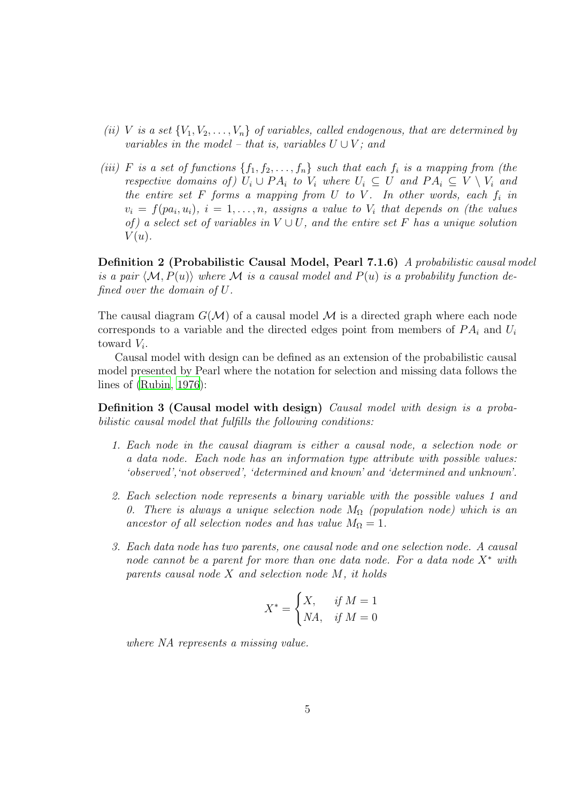- (ii) V is a set  $\{V_1, V_2, \ldots, V_n\}$  of variables, called endogenous, that are determined by variables in the model – that is, variables  $U \cup V$ ; and
- (iii) F is a set of functions  $\{f_1, f_2, \ldots, f_n\}$  such that each  $f_i$  is a mapping from (the respective domains of)  $U_i \cup PA_i$  to  $V_i$  where  $U_i \subseteq U$  and  $PA_i \subseteq V \setminus V_i$  and the entire set  $F$  forms a mapping from  $U$  to  $V$ . In other words, each  $f_i$  in  $v_i = f(pa_i, u_i), i = 1, \ldots, n$ , assigns a value to  $V_i$  that depends on (the values of) a select set of variables in  $V \cup U$ , and the entire set F has a unique solution  $V(u)$ .

Definition 2 (Probabilistic Causal Model, Pearl 7.1.6) A probabilistic causal model is a pair  $\langle \mathcal{M}, P(u) \rangle$  where M is a causal model and  $P(u)$  is a probability function defined over the domain of U.

The causal diagram  $G(\mathcal{M})$  of a causal model M is a directed graph where each node corresponds to a variable and the directed edges point from members of  $PA_i$  and  $U_i$ toward  $V_i$ .

Causal model with design can be defined as an extension of the probabilistic causal model presented by Pearl where the notation for selection and missing data follows the lines of [\(Rubin, 1976\)](#page-22-7):

<span id="page-4-0"></span>Definition 3 (Causal model with design) *Causal model with design is a proba*bilistic causal model that fulfills the following conditions:

- 1. Each node in the causal diagram is either a causal node, a selection node or a data node. Each node has an information type attribute with possible values: 'observed','not observed', 'determined and known' and 'determined and unknown'.
- 2. Each selection node represents a binary variable with the possible values 1 and 0. There is always a unique selection node  $M_{\Omega}$  (population node) which is an ancestor of all selection nodes and has value  $M_{\Omega} = 1$ .
- 3. Each data node has two parents, one causal node and one selection node. A causal node cannot be a parent for more than one data node. For a data node  $X^*$  with parents causal node X and selection node M, it holds

$$
X^* = \begin{cases} X, & \text{if } M = 1\\ NA, & \text{if } M = 0 \end{cases}
$$

where NA represents a missing value.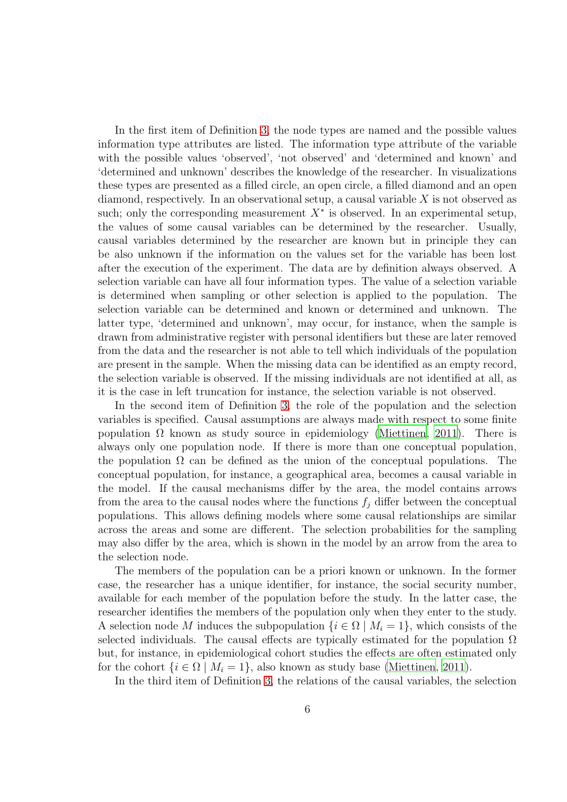In the first item of Definition [3,](#page-4-0) the node types are named and the possible values information type attributes are listed. The information type attribute of the variable with the possible values 'observed', 'not observed' and 'determined and known' and 'determined and unknown' describes the knowledge of the researcher. In visualizations these types are presented as a filled circle, an open circle, a filled diamond and an open diamond, respectively. In an observational setup, a causal variable  $X$  is not observed as such; only the corresponding measurement  $X^*$  is observed. In an experimental setup, the values of some causal variables can be determined by the researcher. Usually, causal variables determined by the researcher are known but in principle they can be also unknown if the information on the values set for the variable has been lost after the execution of the experiment. The data are by definition always observed. A selection variable can have all four information types. The value of a selection variable is determined when sampling or other selection is applied to the population. The selection variable can be determined and known or determined and unknown. The latter type, 'determined and unknown', may occur, for instance, when the sample is drawn from administrative register with personal identifiers but these are later removed from the data and the researcher is not able to tell which individuals of the population are present in the sample. When the missing data can be identified as an empty record, the selection variable is observed. If the missing individuals are not identified at all, as it is the case in left truncation for instance, the selection variable is not observed.

In the second item of Definition [3,](#page-4-0) the role of the population and the selection variables is specified. Causal assumptions are always made with respect to some finite population  $\Omega$  known as study source in epidemiology [\(Miettinen](#page-22-8), [2011\)](#page-22-8). There is always only one population node. If there is more than one conceptual population, the population  $\Omega$  can be defined as the union of the conceptual populations. The conceptual population, for instance, a geographical area, becomes a causal variable in the model. If the causal mechanisms differ by the area, the model contains arrows from the area to the causal nodes where the functions  $f_i$  differ between the conceptual populations. This allows defining models where some causal relationships are similar across the areas and some are different. The selection probabilities for the sampling may also differ by the area, which is shown in the model by an arrow from the area to the selection node.

The members of the population can be a priori known or unknown. In the former case, the researcher has a unique identifier, for instance, the social security number, available for each member of the population before the study. In the latter case, the researcher identifies the members of the population only when they enter to the study. A selection node M induces the subpopulation  $\{i \in \Omega \mid M_i = 1\}$ , which consists of the selected individuals. The causal effects are typically estimated for the population  $\Omega$ but, for instance, in epidemiological cohort studies the effects are often estimated only for the cohort  $\{i \in \Omega \mid M_i = 1\}$ , also known as study base [\(Miettinen](#page-22-8), [2011\)](#page-22-8).

In the third item of Definition [3,](#page-4-0) the relations of the causal variables, the selection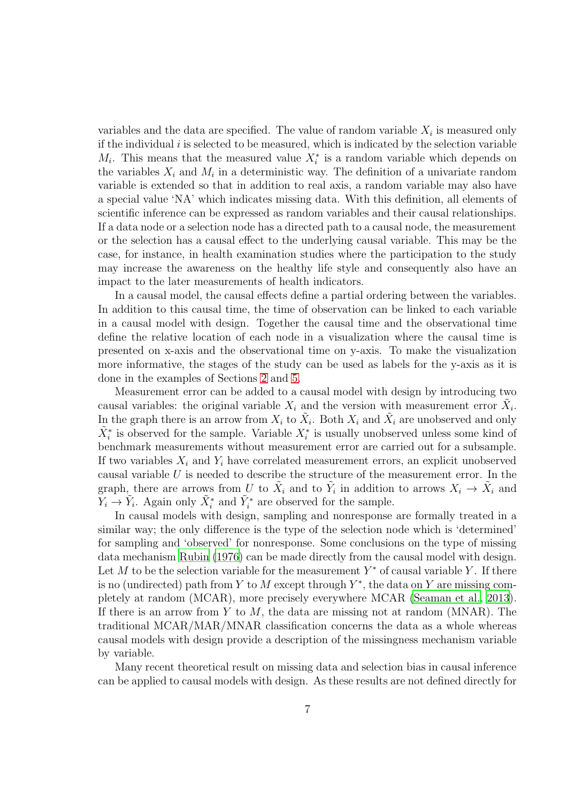variables and the data are specified. The value of random variable  $X_i$  is measured only if the individual  $i$  is selected to be measured, which is indicated by the selection variable  $M_i$ . This means that the measured value  $X_i^*$  is a random variable which depends on the variables  $X_i$  and  $M_i$  in a deterministic way. The definition of a univariate random variable is extended so that in addition to real axis, a random variable may also have a special value 'NA' which indicates missing data. With this definition, all elements of scientific inference can be expressed as random variables and their causal relationships. If a data node or a selection node has a directed path to a causal node, the measurement or the selection has a causal effect to the underlying causal variable. This may be the case, for instance, in health examination studies where the participation to the study may increase the awareness on the healthy life style and consequently also have an impact to the later measurements of health indicators.

In a causal model, the causal effects define a partial ordering between the variables. In addition to this causal time, the time of observation can be linked to each variable in a causal model with design. Together the causal time and the observational time define the relative location of each node in a visualization where the causal time is presented on x-axis and the observational time on y-axis. To make the visualization more informative, the stages of the study can be used as labels for the y-axis as it is done in the examples of Sections [2](#page-1-0) and [5.](#page-12-0)

Measurement error can be added to a causal model with design by introducing two causal variables: the original variable  $X_i$  and the version with measurement error  $\tilde{X}_i$ . In the graph there is an arrow from  $X_i$  to  $\tilde{X}_i$ . Both  $X_i$  and  $\tilde{X}_i$  are unobserved and only  $\tilde{X}_i^*$  is observed for the sample. Variable  $X_i^*$  is usually unobserved unless some kind of benchmark measurements without measurement error are carried out for a subsample. If two variables  $X_i$  and  $Y_i$  have correlated measurement errors, an explicit unobserved causal variable  $U$  is needed to describe the structure of the measurement error. In the graph, there are arrows from U to  $\tilde{X}_i$  and to  $\tilde{Y}_i$  in addition to arrows  $X_i \to \tilde{X}_i$  and  $Y_i \to \tilde{Y}_i$ . Again only  $\tilde{X}_i^*$  and  $\tilde{Y}_i^*$  are observed for the sample.

In causal models with design, sampling and nonresponse are formally treated in a similar way; the only difference is the type of the selection node which is 'determined' for sampling and 'observed' for nonresponse. Some conclusions on the type of missing data mechanism [Rubin \(1976\)](#page-22-7) can be made directly from the causal model with design. Let M to be the selection variable for the measurement  $Y^*$  of causal variable Y. If there is no (undirected) path from Y to M except through  $Y^*$ , the data on Y are missing completely at random (MCAR), more precisely everywhere MCAR [\(Seaman et al., 2013\)](#page-22-9). If there is an arrow from Y to  $M$ , the data are missing not at random (MNAR). The traditional MCAR/MAR/MNAR classification concerns the data as a whole whereas causal models with design provide a description of the missingness mechanism variable by variable.

Many recent theoretical result on missing data and selection bias in causal inference can be applied to causal models with design. As these results are not defined directly for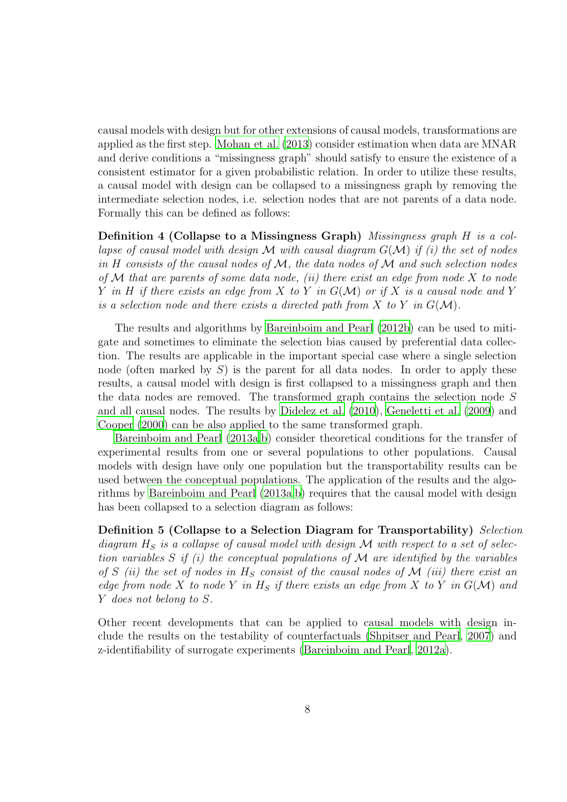causal models with design but for other extensions of causal models, transformations are applied as the first step. [Mohan et al. \(2013\)](#page-22-10) consider estimation when data are MNAR and derive conditions a "missingness graph" should satisfy to ensure the existence of a consistent estimator for a given probabilistic relation. In order to utilize these results, a causal model with design can be collapsed to a missingness graph by removing the intermediate selection nodes, i.e. selection nodes that are not parents of a data node. Formally this can be defined as follows:

Definition 4 (Collapse to a Missingness Graph) Missingness graph H is a collapse of causal model with design M with causal diagram  $G(\mathcal{M})$  if (i) the set of nodes in H consists of the causal nodes of  $M$ , the data nodes of  $M$  and such selection nodes of  $\mathcal M$  that are parents of some data node, (ii) there exist an edge from node  $X$  to node Y in H if there exists an edge from X to Y in  $G(\mathcal{M})$  or if X is a causal node and Y is a selection node and there exists a directed path from X to Y in  $G(\mathcal{M})$ .

The results and algorithms by [Bareinboim and Pearl \(2012b\)](#page-19-0) can be used to mitigate and sometimes to eliminate the selection bias caused by preferential data collection. The results are applicable in the important special case where a single selection node (often marked by  $S$ ) is the parent for all data nodes. In order to apply these results, a causal model with design is first collapsed to a missingness graph and then the data nodes are removed. The transformed graph contains the selection node S and all causal nodes. The results by [Didelez et al. \(2010\)](#page-20-3), [Geneletti et al. \(2009\)](#page-20-2) and [Cooper \(2000\)](#page-20-1) can be also applied to the same transformed graph.

[Bareinboim and Pearl \(2013a](#page-19-1)[,b](#page-20-4)) consider theoretical conditions for the transfer of experimental results from one or several populations to other populations. Causal models with design have only one population but the transportability results can be used between the conceptual populations. The application of the results and the algo-rithms by [Bareinboim and Pearl \(2013a](#page-19-1)[,b\)](#page-20-4) requires that the causal model with design has been collapsed to a selection diagram as follows:

Definition 5 (Collapse to a Selection Diagram for Transportability) Selection diagram  $H<sub>S</sub>$  is a collapse of causal model with design  $M$  with respect to a set of selection variables S if (i) the conceptual populations of M are identified by the variables of S (ii) the set of nodes in  $H_S$  consist of the causal nodes of M (iii) there exist an edge from node X to node Y in  $H<sub>S</sub>$  if there exists an edge from X to Y in  $G(\mathcal{M})$  and Y does not belong to S.

Other recent developments that can be applied to causal models with design include the results on the testability of counterfactuals [\(Shpitser and Pearl, 2007](#page-23-3)) and z-identifiability of surrogate experiments [\(Bareinboim and Pearl, 2012a](#page-19-2)).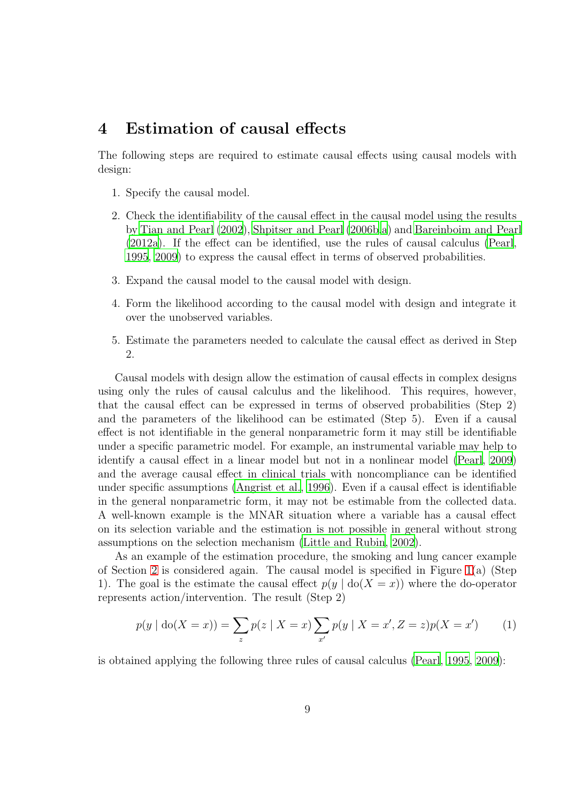#### <span id="page-8-0"></span>4 Estimation of causal effects

The following steps are required to estimate causal effects using causal models with design:

- 1. Specify the causal model.
- 2. Check the identifiability of the causal effect in the causal model using the results by [Tian and Pearl \(2002\)](#page-23-4), [Shpitser and Pearl \(2006b](#page-23-5)[,a\)](#page-22-11) and [Bareinboim and Pearl](#page-19-2) [\(2012a\)](#page-19-2). If the effect can be identified, use the rules of causal calculus [\(Pearl](#page-22-0), [1995,](#page-22-0) [2009](#page-22-1)) to express the causal effect in terms of observed probabilities.
- 3. Expand the causal model to the causal model with design.
- 4. Form the likelihood according to the causal model with design and integrate it over the unobserved variables.
- 5. Estimate the parameters needed to calculate the causal effect as derived in Step 2.

Causal models with design allow the estimation of causal effects in complex designs using only the rules of causal calculus and the likelihood. This requires, however, that the causal effect can be expressed in terms of observed probabilities (Step 2) and the parameters of the likelihood can be estimated (Step 5). Even if a causal effect is not identifiable in the general nonparametric form it may still be identifiable under a specific parametric model. For example, an instrumental variable may help to identify a causal effect in a linear model but not in a nonlinear model [\(Pearl](#page-22-1), [2009\)](#page-22-1) and the average causal effect in clinical trials with noncompliance can be identified under specific assumptions [\(Angrist et al.](#page-19-3), [1996\)](#page-19-3). Even if a causal effect is identifiable in the general nonparametric form, it may not be estimable from the collected data. A well-known example is the MNAR situation where a variable has a causal effect on its selection variable and the estimation is not possible in general without strong assumptions on the selection mechanism [\(Little and Rubin](#page-21-4), [2002\)](#page-21-4).

As an example of the estimation procedure, the smoking and lung cancer example of Section [2](#page-1-0) is considered again. The causal model is specified in Figure [1\(](#page-2-0)a) (Step 1). The goal is the estimate the causal effect  $p(y | do(X = x))$  where the do-operator represents action/intervention. The result (Step 2)

<span id="page-8-1"></span>
$$
p(y \mid \text{do}(X = x)) = \sum_{z} p(z \mid X = x) \sum_{x'} p(y \mid X = x', Z = z) p(X = x') \tag{1}
$$

is obtained applying the following three rules of causal calculus [\(Pearl](#page-22-0), [1995,](#page-22-0) [2009](#page-22-1)):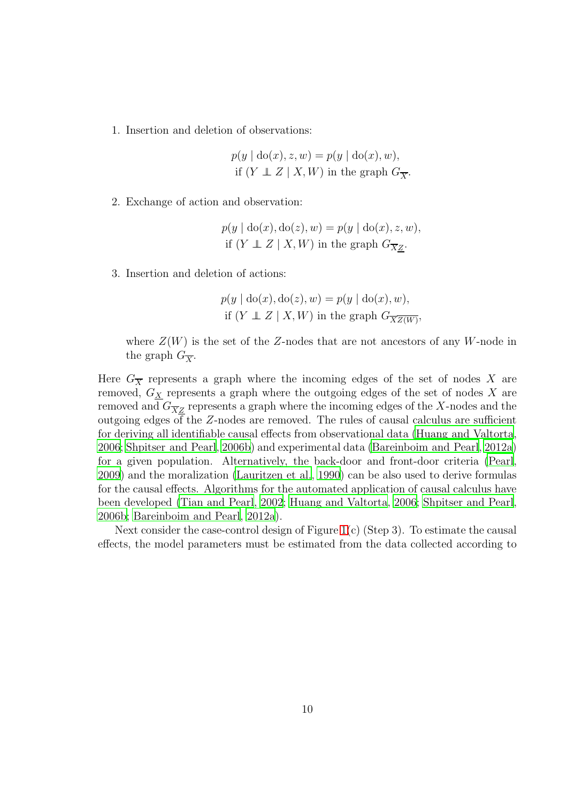1. Insertion and deletion of observations:

$$
p(y | \text{do}(x), z, w) = p(y | \text{do}(x), w),
$$
  
if  $(Y \perp Z | X, W)$  in the graph  $G_{\overline{X}}$ .

2. Exchange of action and observation:

$$
p(y | \text{do}(x), \text{do}(z), w) = p(y | \text{do}(x), z, w),
$$
if  $(Y \perp Z | X, W)$  in the graph  $G_{\overline{XZ}}$ .

3. Insertion and deletion of actions:

$$
p(y | \text{do}(x), \text{do}(z), w) = p(y | \text{do}(x), w),
$$
  
if  $(Y \perp Z | X, W)$  in the graph  $G_{\overline{XZ(W)}}$ ,

where  $Z(W)$  is the set of the Z-nodes that are not ancestors of any W-node in the graph  $G_{\overline{X}}$ .

Here  $G_{\overline{X}}$  represents a graph where the incoming edges of the set of nodes X are removed,  $G_X$  represents a graph where the outgoing edges of the set of nodes  $X$  are removed and  $G_{\overline{X}\underline{Z}}$  represents a graph where the incoming edges of the X-nodes and the outgoing edges of the Z-nodes are removed. The rules of causal calculus are sufficient for deriving all identifiable causal effects from observational data [\(Huang and Valtorta](#page-20-5), [2006](#page-20-5); [Shpitser and Pearl](#page-23-5), [2006b\)](#page-23-5) and experimental data [\(Bareinboim and Pearl](#page-19-2), [2012a\)](#page-19-2) for a given population. Alternatively, the back-door and front-door criteria [\(Pearl](#page-22-1), [2009](#page-22-1)) and the moralization [\(Lauritzen et al., 1990\)](#page-21-5) can be also used to derive formulas for the causal effects. Algorithms for the automated application of causal calculus have been developed [\(Tian and Pearl](#page-23-4), [2002](#page-23-4); [Huang and Valtorta, 2006](#page-20-5); [Shpitser and Pearl](#page-23-5), [2006b;](#page-23-5) [Bareinboim and Pearl](#page-19-2), [2012a\)](#page-19-2).

Next consider the case-control design of Figure [1\(](#page-2-0)c) (Step 3). To estimate the causal effects, the model parameters must be estimated from the data collected according to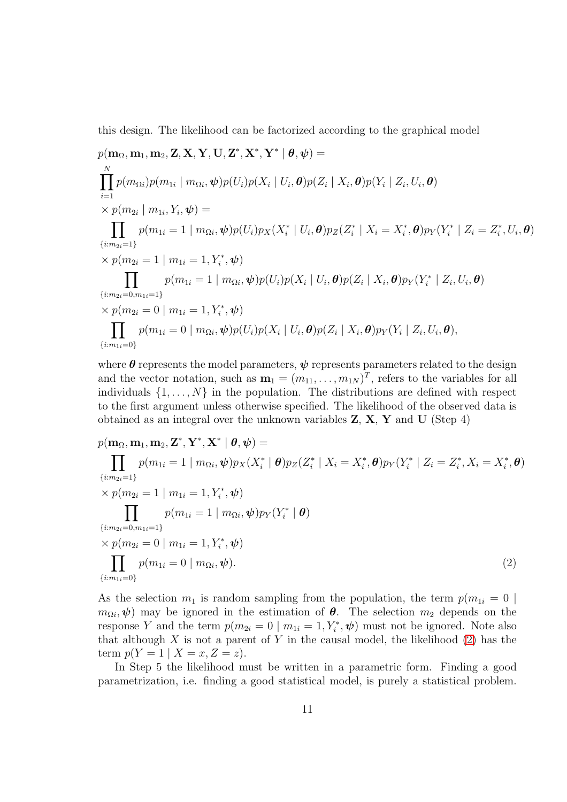this design. The likelihood can be factorized according to the graphical model

$$
p(\mathbf{m}_{\Omega}, \mathbf{m}_{1}, \mathbf{m}_{2}, \mathbf{Z}, \mathbf{X}, \mathbf{Y}, \mathbf{U}, \mathbf{Z}^{*}, \mathbf{X}^{*}, \mathbf{Y}^{*} | \theta, \psi) =
$$
\n
$$
\prod_{i=1}^{N} p(m_{\Omega i}) p(m_{1i} | m_{\Omega i}, \psi) p(U_{i}) p(X_{i} | U_{i}, \theta) p(Z_{i} | X_{i}, \theta) p(Y_{i} | Z_{i}, U_{i}, \theta)
$$
\n
$$
\times p(m_{2i} | m_{1i}, Y_{i}, \psi) =
$$
\n
$$
\prod_{\{i:m_{2i}=1\}} p(m_{1i} = 1 | m_{\Omega i}, \psi) p(U_{i}) p_{X}(X_{i}^{*} | U_{i}, \theta) p_{Z}(Z_{i}^{*} | X_{i} = X_{i}^{*}, \theta) p_{Y}(Y_{i}^{*} | Z_{i} = Z_{i}^{*}, U_{i}, \theta)
$$
\n
$$
\{w_{2i} = 1 | m_{1i} = 1, Y_{i}^{*}, \psi)
$$
\n
$$
\prod_{\{i:m_{2i}=0,m_{1i}=1\}} p(m_{1i} = 1 | m_{\Omega i}, \psi) p(U_{i}) p(X_{i} | U_{i}, \theta) p(Z_{i} | X_{i}, \theta) p_{Y}(Y_{i}^{*} | Z_{i}, U_{i}, \theta)
$$
\n
$$
\{w_{2i} = 0 | m_{1i} = 1, Y_{i}^{*}, \psi)
$$
\n
$$
\prod_{\{i:m_{1i}=0\}} p(m_{1i} = 0 | m_{\Omega i}, \psi) p(U_{i}) p(X_{i} | U_{i}, \theta) p(Z_{i} | X_{i}, \theta) p_{Y}(Y_{i} | Z_{i}, U_{i}, \theta),
$$

where  $\theta$  represents the model parameters,  $\psi$  represents parameters related to the design and the vector notation, such as  $\mathbf{m}_1 = (m_{11}, \ldots, m_{1N})^T$ , refers to the variables for all individuals  $\{1, \ldots, N\}$  in the population. The distributions are defined with respect to the first argument unless otherwise specified. The likelihood of the observed data is obtained as an integral over the unknown variables  $Z, X, Y$  and  $U$  (Step 4)

 $p(\mathbf{m}_{\Omega},\mathbf{m}_1,\mathbf{m}_2,\mathbf{Z}^*,\mathbf{Y}^*,\mathbf{X}^* \mid \boldsymbol{\theta}, \boldsymbol{\psi}) =$  $\prod \quad p(m_{1i} = 1 \mid m_{\Omega i}, \psi) p_X(X^*_i \mid \boldsymbol{\theta}) p_Z(Z^*_i \mid X_i = X^*_i, \boldsymbol{\theta}) p_Y(Y^*_i \mid Z_i = Z^*_i, X_i = X^*_i, \boldsymbol{\theta})$  $\{i:m_{2i}=1\}$  $\times p(m_{2i} = 1 | m_{1i} = 1, Y_i^*, \psi)$  $\Pi$  $\{i:m_{2i}=0,m_{1i}=1\}$  $p(m_{1i} = 1 | m_{\Omega i}, \boldsymbol{\psi}) p_Y(Y_i^* | \boldsymbol{\theta})$  $x p(m_{2i} = 0 \mid m_{1i} = 1, Y_i^*, \psi)$  $\prod p(m_{1i}=0 | m_{\Omega i}$  $\{i:m_{1i}=0\}$  $, \boldsymbol{\psi})$ . (2)

<span id="page-10-0"></span>As the selection  $m_1$  is random sampling from the population, the term  $p(m_{1i} = 0)$  $m_{\Omega i}, \psi$  may be ignored in the estimation of  $\theta$ . The selection  $m_2$  depends on the response Y and the term  $p(m_{2i} = 0 \mid m_{1i} = 1, Y_i^*, \psi)$  must not be ignored. Note also that although  $X$  is not a parent of  $Y$  in the causal model, the likelihood  $(2)$  has the term  $p(Y = 1 | X = x, Z = z).$ 

In Step 5 the likelihood must be written in a parametric form. Finding a good parametrization, i.e. finding a good statistical model, is purely a statistical problem.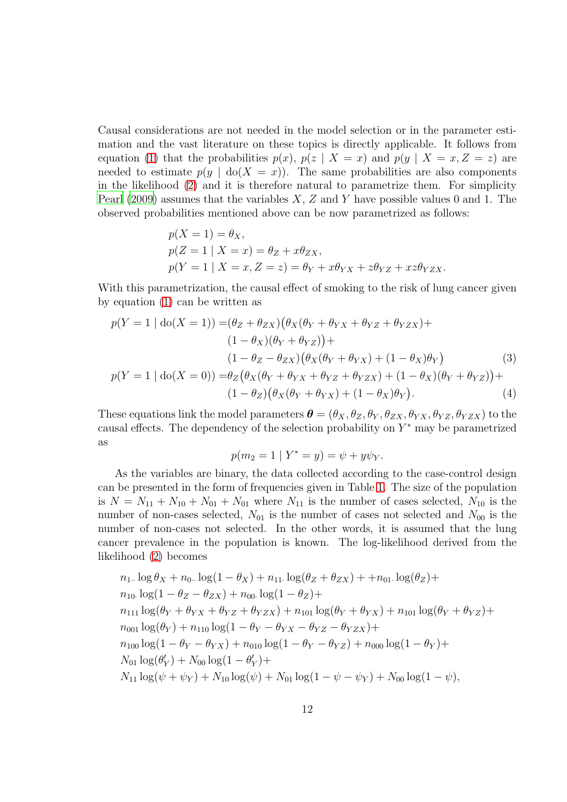Causal considerations are not needed in the model selection or in the parameter estimation and the vast literature on these topics is directly applicable. It follows from equation [\(1\)](#page-8-1) that the probabilities  $p(x)$ ,  $p(z | X = x)$  and  $p(y | X = x, Z = z)$  are needed to estimate  $p(y \mid \text{do}(X = x))$ . The same probabilities are also components in the likelihood [\(2\)](#page-10-0) and it is therefore natural to parametrize them. For simplicity Pearl  $(2009)$  assumes that the variables X, Z and Y have possible values 0 and 1. The observed probabilities mentioned above can be now parametrized as follows:

$$
p(X = 1) = \theta_X,
$$
  
\n
$$
p(Z = 1 | X = x) = \theta_Z + x\theta_{ZX},
$$
  
\n
$$
p(Y = 1 | X = x, Z = z) = \theta_Y + x\theta_{YX} + z\theta_{YZ} + xz\theta_{YZX}.
$$

With this parametrization, the causal effect of smoking to the risk of lung cancer given by equation [\(1\)](#page-8-1) can be written as

$$
p(Y = 1 | \text{do}(X = 1)) = (\theta_Z + \theta_{ZX})(\theta_X(\theta_Y + \theta_{YX} + \theta_{YZ} + \theta_{YZX}) +
$$
  
\n
$$
(1 - \theta_X)(\theta_Y + \theta_{YZ}) +
$$
  
\n
$$
(1 - \theta_Z - \theta_{ZX})(\theta_X(\theta_Y + \theta_{YX}) + (1 - \theta_X)\theta_Y)
$$
  
\n
$$
p(Y = 1 | \text{do}(X = 0)) = \theta_Z(\theta_X(\theta_Y + \theta_{YX} + \theta_{YZ} + \theta_{YZX}) + (1 - \theta_X)(\theta_Y + \theta_{YZ})) +
$$
  
\n
$$
(1 - \theta_Z)(\theta_X(\theta_Y + \theta_{YX}) + (1 - \theta_X)\theta_Y).
$$
  
\n(4)

These equations link the model parameters  $\boldsymbol{\theta} = (\theta_X, \theta_Z, \theta_Y, \theta_{ZX}, \theta_{YX}, \theta_{YZ}, \theta_{YZX})$  to the causal effects. The dependency of the selection probability on  $Y^*$  may be parametrized as

<span id="page-11-1"></span><span id="page-11-0"></span>
$$
p(m_2 = 1 | Y^* = y) = \psi + y\psi_Y.
$$

As the variables are binary, the data collected according to the case-control design can be presented in the form of frequencies given in Table [1.](#page-12-1) The size of the population is  $N = N_{11} + N_{10} + N_{01} + N_{01}$  where  $N_{11}$  is the number of cases selected,  $N_{10}$  is the number of non-cases selected,  $N_{01}$  is the number of cases not selected and  $N_{00}$  is the number of non-cases not selected. In the other words, it is assumed that the lung cancer prevalence in the population is known. The log-likelihood derived from the likelihood [\(2\)](#page-10-0) becomes

$$
n_{1} \log \theta_{X} + n_{0} \log(1 - \theta_{X}) + n_{11} \log(\theta_{Z} + \theta_{ZX}) + n_{01} \log(\theta_{Z}) +
$$
  
\n
$$
n_{10} \log(1 - \theta_{Z} - \theta_{ZX}) + n_{00} \log(1 - \theta_{Z}) +
$$
  
\n
$$
n_{111} \log(\theta_{Y} + \theta_{YX} + \theta_{YZ} + \theta_{YZX}) + n_{101} \log(\theta_{Y} + \theta_{YX}) + n_{101} \log(\theta_{Y} + \theta_{YZ}) +
$$
  
\n
$$
n_{001} \log(\theta_{Y}) + n_{110} \log(1 - \theta_{Y} - \theta_{YX} - \theta_{YZ} - \theta_{YZX}) +
$$
  
\n
$$
n_{100} \log(1 - \theta_{Y} - \theta_{YX}) + n_{010} \log(1 - \theta_{Y} - \theta_{YZ}) + n_{000} \log(1 - \theta_{Y}) +
$$
  
\n
$$
N_{01} \log(\theta_{Y}') + N_{00} \log(1 - \theta_{Y}') +
$$
  
\n
$$
N_{11} \log(\psi + \psi_{Y}) + N_{10} \log(\psi) + N_{01} \log(1 - \psi - \psi_{Y}) + N_{00} \log(1 - \psi),
$$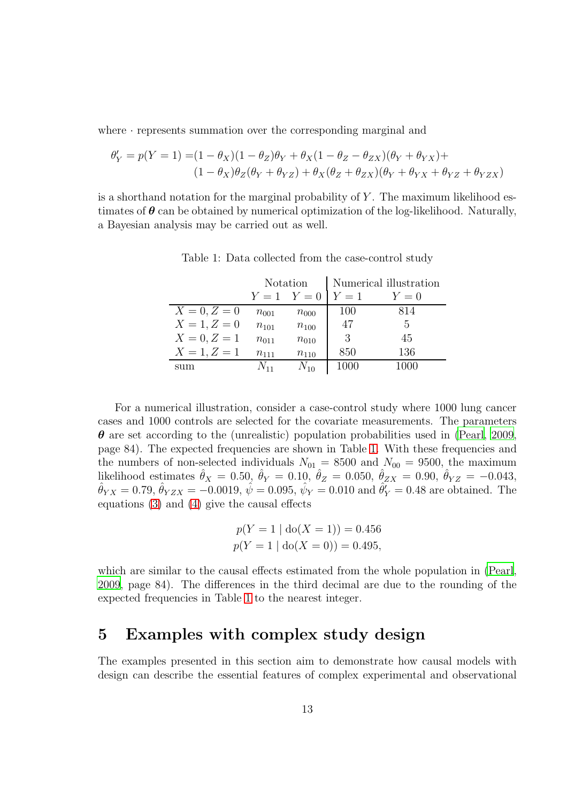where  $\cdot$  represents summation over the corresponding marginal and

$$
\theta'_{Y} = p(Y=1) = (1 - \theta_{X})(1 - \theta_{Z})\theta_{Y} + \theta_{X}(1 - \theta_{Z} - \theta_{ZX})(\theta_{Y} + \theta_{YX}) +
$$

$$
(1 - \theta_{X})\theta_{Z}(\theta_{Y} + \theta_{YZ}) + \theta_{X}(\theta_{Z} + \theta_{ZX})(\theta_{Y} + \theta_{YX} + \theta_{YZ} + \theta_{YZX})
$$

is a shorthand notation for the marginal probability of  $Y$ . The maximum likelihood estimates of  $\theta$  can be obtained by numerical optimization of the log-likelihood. Naturally, a Bayesian analysis may be carried out as well.

|                | Notation  |             | Numerical illustration |       |
|----------------|-----------|-------------|------------------------|-------|
|                |           | $Y=1$ $Y=0$ | $Y=1$                  | $Y=0$ |
| $X = 0, Z = 0$ | $n_{001}$ | $n_{000}$   | 100                    | 814   |
| $X = 1, Z = 0$ | $n_{101}$ | $n_{100}$   | 47                     | 5     |
| $X = 0, Z = 1$ | $n_{011}$ | $n_{010}$   | 3                      | 45    |
| $X = 1, Z = 1$ | $n_{111}$ | $n_{110}$   | 850                    | 136   |
| sum            | $N_{11}$  | $N_{10}$    | 1000                   | 1000  |

<span id="page-12-1"></span>Table 1: Data collected from the case-control study

For a numerical illustration, consider a case-control study where 1000 lung cancer cases and 1000 controls are selected for the covariate measurements. The parameters  $\theta$  are set according to the (unrealistic) population probabilities used in [\(Pearl, 2009](#page-22-1), page 84). The expected frequencies are shown in Table [1.](#page-12-1) With these frequencies and the numbers of non-selected individuals  $N_{01} = 8500$  and  $N_{00} = 9500$ , the maximum likelihood estimates  $\hat{\theta}_X = 0.50$ ,  $\hat{\theta}_Y = 0.10$ ,  $\hat{\theta}_Z = 0.050$ ,  $\hat{\theta}_{ZX} = 0.90$ ,  $\hat{\theta}_{YZ} = -0.043$ ,  $\hat{\theta}_{YX}=0.79, \, \hat{\theta}_{YZX}=-0.0019, \, \hat{\psi}=0.095, \, \hat{\psi}_{Y}=0.010 \; \text{and} \; \hat{\theta}'_{Y}=0.48 \; \text{are obtained.} \nonumber$  The equations [\(3\)](#page-11-0) and [\(4\)](#page-11-1) give the causal effects

$$
p(Y = 1 | \text{do}(X = 1)) = 0.456
$$
  

$$
p(Y = 1 | \text{do}(X = 0)) = 0.495,
$$

which are similar to the causal effects estimated from the whole population in [\(Pearl](#page-22-1), [2009](#page-22-1), page 84). The differences in the third decimal are due to the rounding of the expected frequencies in Table [1](#page-12-1) to the nearest integer.

#### <span id="page-12-0"></span>5 Examples with complex study design

The examples presented in this section aim to demonstrate how causal models with design can describe the essential features of complex experimental and observational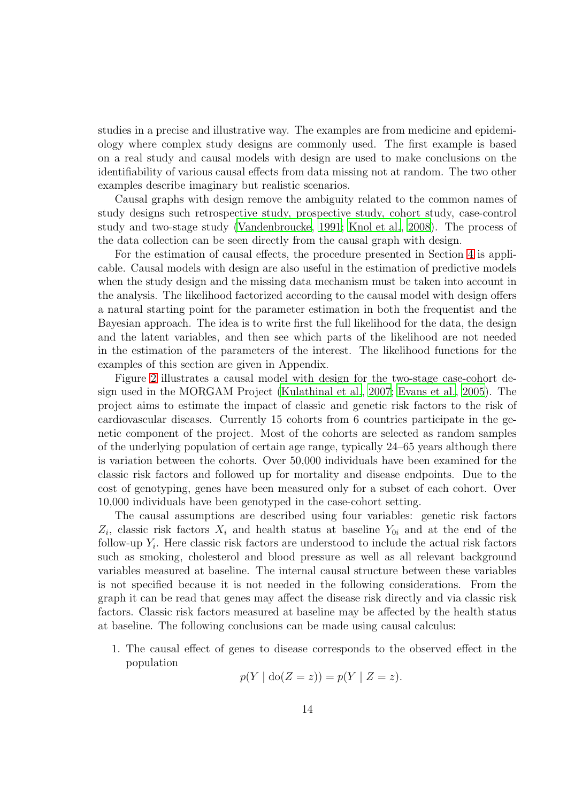studies in a precise and illustrative way. The examples are from medicine and epidemiology where complex study designs are commonly used. The first example is based on a real study and causal models with design are used to make conclusions on the identifiability of various causal effects from data missing not at random. The two other examples describe imaginary but realistic scenarios.

Causal graphs with design remove the ambiguity related to the common names of study designs such retrospective study, prospective study, cohort study, case-control study and two-stage study [\(Vandenbroucke, 1991](#page-23-6); [Knol et al.](#page-21-6), [2008\)](#page-21-6). The process of the data collection can be seen directly from the causal graph with design.

For the estimation of causal effects, the procedure presented in Section [4](#page-8-0) is applicable. Causal models with design are also useful in the estimation of predictive models when the study design and the missing data mechanism must be taken into account in the analysis. The likelihood factorized according to the causal model with design offers a natural starting point for the parameter estimation in both the frequentist and the Bayesian approach. The idea is to write first the full likelihood for the data, the design and the latent variables, and then see which parts of the likelihood are not needed in the estimation of the parameters of the interest. The likelihood functions for the examples of this section are given in Appendix.

Figure [2](#page-16-1) illustrates a causal model with design for the two-stage case-cohort design used in the MORGAM Project [\(Kulathinal et al., 2007](#page-21-2); [Evans et al., 2005\)](#page-20-6). The project aims to estimate the impact of classic and genetic risk factors to the risk of cardiovascular diseases. Currently 15 cohorts from 6 countries participate in the genetic component of the project. Most of the cohorts are selected as random samples of the underlying population of certain age range, typically 24–65 years although there is variation between the cohorts. Over 50,000 individuals have been examined for the classic risk factors and followed up for mortality and disease endpoints. Due to the cost of genotyping, genes have been measured only for a subset of each cohort. Over 10,000 individuals have been genotyped in the case-cohort setting.

The causal assumptions are described using four variables: genetic risk factors  $Z_i$ , classic risk factors  $X_i$  and health status at baseline  $Y_{0i}$  and at the end of the follow-up  $Y_i$ . Here classic risk factors are understood to include the actual risk factors such as smoking, cholesterol and blood pressure as well as all relevant background variables measured at baseline. The internal causal structure between these variables is not specified because it is not needed in the following considerations. From the graph it can be read that genes may affect the disease risk directly and via classic risk factors. Classic risk factors measured at baseline may be affected by the health status at baseline. The following conclusions can be made using causal calculus:

1. The causal effect of genes to disease corresponds to the observed effect in the population

$$
p(Y | \text{do}(Z = z)) = p(Y | Z = z).
$$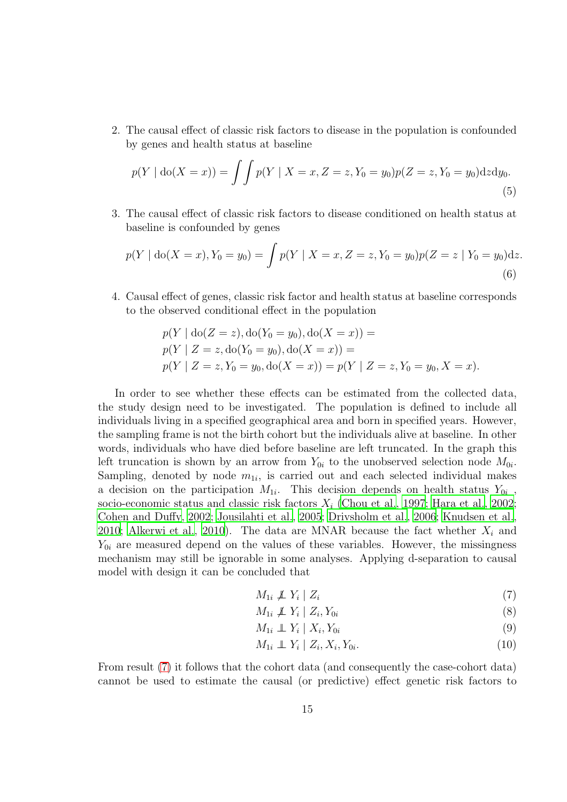2. The causal effect of classic risk factors to disease in the population is confounded by genes and health status at baseline

<span id="page-14-3"></span>
$$
p(Y \mid \text{do}(X = x)) = \int \int p(Y \mid X = x, Z = z, Y_0 = y_0) p(Z = z, Y_0 = y_0) \text{d}z \text{d}y_0.
$$
\n(5)

3. The causal effect of classic risk factors to disease conditioned on health status at baseline is confounded by genes

<span id="page-14-4"></span>
$$
p(Y \mid \text{do}(X = x), Y_0 = y_0) = \int p(Y \mid X = x, Z = z, Y_0 = y_0)p(Z = z \mid Y_0 = y_0)\text{d}z.
$$
\n(6)

4. Causal effect of genes, classic risk factor and health status at baseline corresponds to the observed conditional effect in the population

$$
p(Y | \text{do}(Z = z), \text{do}(Y_0 = y_0), \text{do}(X = x)) =
$$
  
\n
$$
p(Y | Z = z, \text{do}(Y_0 = y_0), \text{do}(X = x)) =
$$
  
\n
$$
p(Y | Z = z, Y_0 = y_0, \text{do}(X = x)) = p(Y | Z = z, Y_0 = y_0, X = x).
$$

In order to see whether these effects can be estimated from the collected data, the study design need to be investigated. The population is defined to include all individuals living in a specified geographical area and born in specified years. However, the sampling frame is not the birth cohort but the individuals alive at baseline. In other words, individuals who have died before baseline are left truncated. In the graph this left truncation is shown by an arrow from  $Y_{0i}$  to the unobserved selection node  $M_{0i}$ . Sampling, denoted by node  $m_{1i}$ , is carried out and each selected individual makes a decision on the participation  $M_{1i}$ . This decision depends on health status  $Y_{0i}$ , socio-economic status and classic risk factors  $X_i$  [\(Chou et al., 1997](#page-20-7); [Hara et al.](#page-20-8), [2002](#page-20-8); [Cohen and Duffy, 2002;](#page-20-9) [Jousilahti et al.](#page-21-7), [2005;](#page-21-7) [Drivsholm et al.](#page-20-10), [2006;](#page-20-10) [Knudsen et al.](#page-21-8), [2010](#page-21-8); [Alkerwi et al.](#page-19-4), [2010\)](#page-19-4). The data are MNAR because the fact whether  $X_i$  and  $Y_{0i}$  are measured depend on the values of these variables. However, the missingness mechanism may still be ignorable in some analyses. Applying d-separation to causal model with design it can be concluded that

<span id="page-14-0"></span>
$$
M_{1i} \not\perp Y_i \mid Z_i \tag{7}
$$

<span id="page-14-1"></span>
$$
M_{1i} \not\perp Y_i \mid Z_i, Y_{0i} \tag{8}
$$

<span id="page-14-5"></span><span id="page-14-2"></span>
$$
M_{1i} \perp \!\!\!\perp Y_i \mid X_i, Y_{0i} \tag{9}
$$

$$
M_{1i} \perp \!\!\!\perp Y_i \mid Z_i, X_i, Y_{0i}.\tag{10}
$$

From result [\(7\)](#page-14-0) it follows that the cohort data (and consequently the case-cohort data) cannot be used to estimate the causal (or predictive) effect genetic risk factors to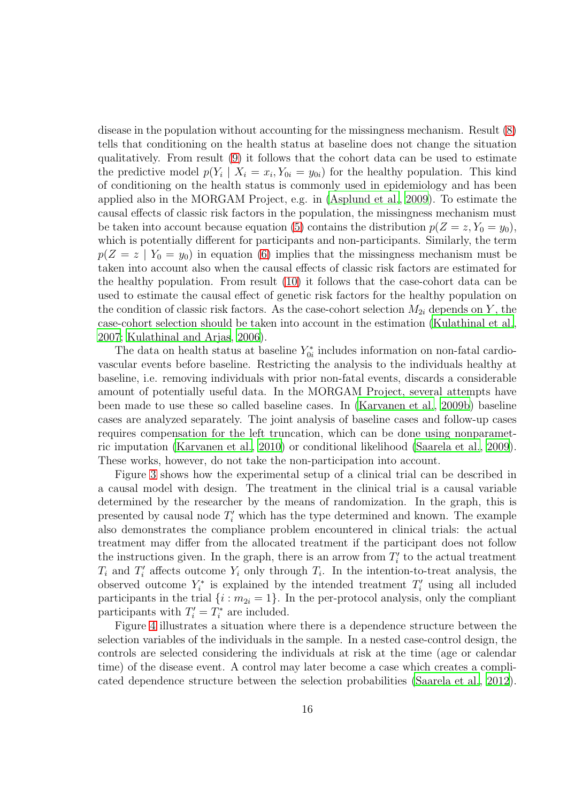disease in the population without accounting for the missingness mechanism. Result [\(8\)](#page-14-1) tells that conditioning on the health status at baseline does not change the situation qualitatively. From result [\(9\)](#page-14-2) it follows that the cohort data can be used to estimate the predictive model  $p(Y_i \mid X_i = x_i, Y_{0i} = y_{0i})$  for the healthy population. This kind of conditioning on the health status is commonly used in epidemiology and has been applied also in the MORGAM Project, e.g. in [\(Asplund et al., 2009](#page-19-5)). To estimate the causal effects of classic risk factors in the population, the missingness mechanism must be taken into account because equation [\(5\)](#page-14-3) contains the distribution  $p(Z = z, Y_0 = y_0)$ , which is potentially different for participants and non-participants. Similarly, the term  $p(Z = z | Y_0 = y_0)$  in equation [\(6\)](#page-14-4) implies that the missingness mechanism must be taken into account also when the causal effects of classic risk factors are estimated for the healthy population. From result [\(10\)](#page-14-5) it follows that the case-cohort data can be used to estimate the causal effect of genetic risk factors for the healthy population on the condition of classic risk factors. As the case-cohort selection  $M_{2i}$  depends on Y, the case-cohort selection should be taken into account in the estimation [\(Kulathinal et al.](#page-21-2), [2007](#page-21-2); [Kulathinal and Arjas](#page-21-9), [2006\)](#page-21-9).

The data on health status at baseline  $Y_{0i}^*$  includes information on non-fatal cardiovascular events before baseline. Restricting the analysis to the individuals healthy at baseline, i.e. removing individuals with prior non-fatal events, discards a considerable amount of potentially useful data. In the MORGAM Project, several attempts have been made to use these so called baseline cases. In [\(Karvanen et al.,](#page-21-10) [2009b\)](#page-21-10) baseline cases are analyzed separately. The joint analysis of baseline cases and follow-up cases requires compensation for the left truncation, which can be done using nonparametric imputation [\(Karvanen et al.](#page-21-11), [2010\)](#page-21-11) or conditional likelihood [\(Saarela et al., 2009\)](#page-22-12). These works, however, do not take the non-participation into account.

Figure [3](#page-17-0) shows how the experimental setup of a clinical trial can be described in a causal model with design. The treatment in the clinical trial is a causal variable determined by the researcher by the means of randomization. In the graph, this is presented by causal node  $T_i'$  which has the type determined and known. The example also demonstrates the compliance problem encountered in clinical trials: the actual treatment may differ from the allocated treatment if the participant does not follow the instructions given. In the graph, there is an arrow from  $T_i'$  to the actual treatment  $T_i$  and  $T'_i$  affects outcome  $Y_i$  only through  $T_i$ . In the intention-to-treat analysis, the observed outcome  $Y_i^*$  is explained by the intended treatment  $T_i'$  using all included participants in the trial  $\{i : m_{2i} = 1\}$ . In the per-protocol analysis, only the compliant participants with  $T_i' = T_i^*$  are included.

Figure [4](#page-18-0) illustrates a situation where there is a dependence structure between the selection variables of the individuals in the sample. In a nested case-control design, the controls are selected considering the individuals at risk at the time (age or calendar time) of the disease event. A control may later become a case which creates a complicated dependence structure between the selection probabilities [\(Saarela et al.](#page-22-13), [2012\)](#page-22-13).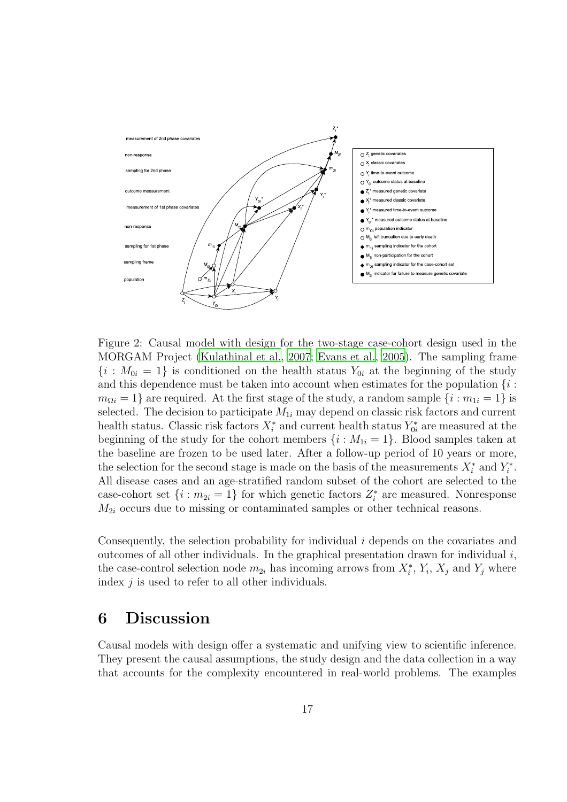

<span id="page-16-1"></span>Figure 2: Causal model with design for the two-stage case-cohort design used in the MORGAM Project [\(Kulathinal et al., 2007;](#page-21-2) [Evans et al., 2005\)](#page-20-6). The sampling frame  ${i: M_{0i} = 1}$  is conditioned on the health status  $Y_{0i}$  at the beginning of the study and this dependence must be taken into account when estimates for the population  $\{i:$  $m_{\Omega i} = 1$  are required. At the first stage of the study, a random sample  $\{i : m_{1i} = 1\}$  is selected. The decision to participate  $M_{1i}$  may depend on classic risk factors and current health status. Classic risk factors  $X_i^*$  and current health status  $Y_{0i}^*$  are measured at the beginning of the study for the cohort members  $\{i : M_{1i} = 1\}$ . Blood samples taken at the baseline are frozen to be used later. After a follow-up period of 10 years or more, the selection for the second stage is made on the basis of the measurements  $X_i^*$  and  $Y_i^*$ . All disease cases and an age-stratified random subset of the cohort are selected to the case-cohort set  $\{i : m_{2i} = 1\}$  for which genetic factors  $Z_i^*$  are measured. Nonresponse  $M_{2i}$  occurs due to missing or contaminated samples or other technical reasons.

Consequently, the selection probability for individual  $i$  depends on the covariates and outcomes of all other individuals. In the graphical presentation drawn for individual  $i$ , the case-control selection node  $m_{2i}$  has incoming arrows from  $X_i^*$ ,  $Y_i$ ,  $X_j$  and  $Y_j$  where index  $j$  is used to refer to all other individuals.

#### <span id="page-16-0"></span>6 Discussion

Causal models with design offer a systematic and unifying view to scientific inference. They present the causal assumptions, the study design and the data collection in a way that accounts for the complexity encountered in real-world problems. The examples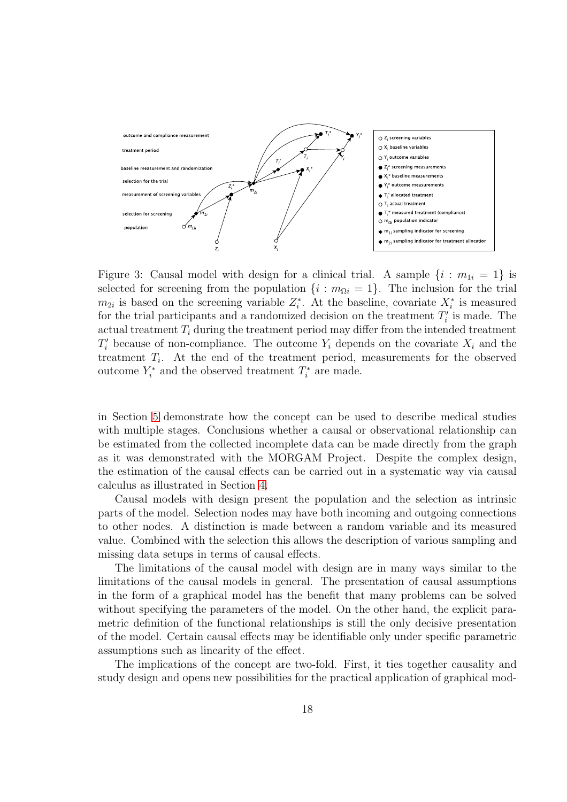

<span id="page-17-0"></span>Figure 3: Causal model with design for a clinical trial. A sample  $\{i : m_{1i} = 1\}$  is selected for screening from the population  $\{i : m_{\Omega i} = 1\}$ . The inclusion for the trial  $m_{2i}$  is based on the screening variable  $Z_i^*$ . At the baseline, covariate  $X_i^*$  is measured for the trial participants and a randomized decision on the treatment  $T_i'$  is made. The actual treatment  $T_i$  during the treatment period may differ from the intended treatment  $T_i'$  because of non-compliance. The outcome  $Y_i$  depends on the covariate  $X_i$  and the treatment  $T_i$ . At the end of the treatment period, measurements for the observed outcome  $Y_i^*$  and the observed treatment  $T_i^*$  are made.

in Section [5](#page-12-0) demonstrate how the concept can be used to describe medical studies with multiple stages. Conclusions whether a causal or observational relationship can be estimated from the collected incomplete data can be made directly from the graph as it was demonstrated with the MORGAM Project. Despite the complex design, the estimation of the causal effects can be carried out in a systematic way via causal calculus as illustrated in Section [4.](#page-8-0)

Causal models with design present the population and the selection as intrinsic parts of the model. Selection nodes may have both incoming and outgoing connections to other nodes. A distinction is made between a random variable and its measured value. Combined with the selection this allows the description of various sampling and missing data setups in terms of causal effects.

The limitations of the causal model with design are in many ways similar to the limitations of the causal models in general. The presentation of causal assumptions in the form of a graphical model has the benefit that many problems can be solved without specifying the parameters of the model. On the other hand, the explicit parametric definition of the functional relationships is still the only decisive presentation of the model. Certain causal effects may be identifiable only under specific parametric assumptions such as linearity of the effect.

The implications of the concept are two-fold. First, it ties together causality and study design and opens new possibilities for the practical application of graphical mod-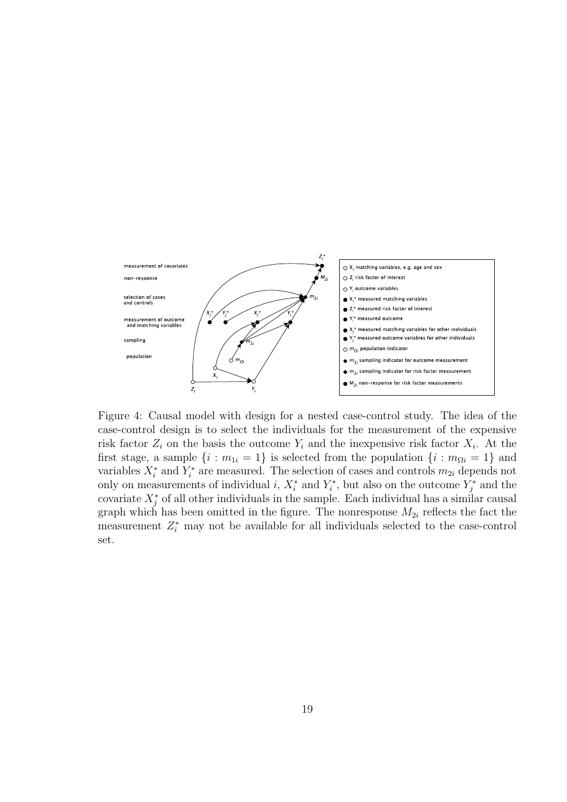

<span id="page-18-0"></span>Figure 4: Causal model with design for a nested case-control study. The idea of the case-control design is to select the individuals for the measurement of the expensive risk factor  $Z_i$  on the basis the outcome  $Y_i$  and the inexpensive risk factor  $X_i$ . At the first stage, a sample  $\{i : m_{1i} = 1\}$  is selected from the population  $\{i : m_{\Omega i} = 1\}$  and variables  $X_i^*$  and  $Y_i^*$  are measured. The selection of cases and controls  $m_{2i}$  depends not only on measurements of individual i,  $X_i^*$  and  $Y_i^*$ , but also on the outcome  $Y_j^*$  and the covariate  $X_j^*$  of all other individuals in the sample. Each individual has a similar causal graph which has been omitted in the figure. The nonresponse  $M_{2i}$  reflects the fact the measurement  $Z_i^*$  may not be available for all individuals selected to the case-control set.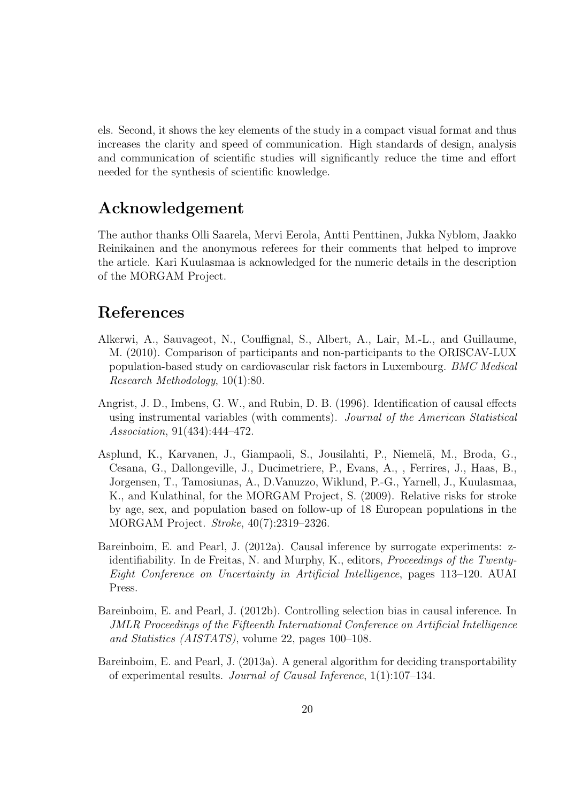els. Second, it shows the key elements of the study in a compact visual format and thus increases the clarity and speed of communication. High standards of design, analysis and communication of scientific studies will significantly reduce the time and effort needed for the synthesis of scientific knowledge.

# Acknowledgement

The author thanks Olli Saarela, Mervi Eerola, Antti Penttinen, Jukka Nyblom, Jaakko Reinikainen and the anonymous referees for their comments that helped to improve the article. Kari Kuulasmaa is acknowledged for the numeric details in the description of the MORGAM Project.

# References

- <span id="page-19-4"></span>Alkerwi, A., Sauvageot, N., Couffignal, S., Albert, A., Lair, M.-L., and Guillaume, M. (2010). Comparison of participants and non-participants to the ORISCAV-LUX population-based study on cardiovascular risk factors in Luxembourg. BMC Medical Research Methodology, 10(1):80.
- <span id="page-19-3"></span>Angrist, J. D., Imbens, G. W., and Rubin, D. B. (1996). Identification of causal effects using instrumental variables (with comments). Journal of the American Statistical Association, 91(434):444–472.
- <span id="page-19-5"></span>Asplund, K., Karvanen, J., Giampaoli, S., Jousilahti, P., Niemelä, M., Broda, G., Cesana, G., Dallongeville, J., Ducimetriere, P., Evans, A., , Ferrires, J., Haas, B., Jorgensen, T., Tamosiunas, A., D.Vanuzzo, Wiklund, P.-G., Yarnell, J., Kuulasmaa, K., and Kulathinal, for the MORGAM Project, S. (2009). Relative risks for stroke by age, sex, and population based on follow-up of 18 European populations in the MORGAM Project. Stroke, 40(7):2319–2326.
- <span id="page-19-2"></span>Bareinboim, E. and Pearl, J. (2012a). Causal inference by surrogate experiments: zidentifiability. In de Freitas, N. and Murphy, K., editors, Proceedings of the Twenty-Eight Conference on Uncertainty in Artificial Intelligence, pages 113–120. AUAI Press.
- <span id="page-19-0"></span>Bareinboim, E. and Pearl, J. (2012b). Controlling selection bias in causal inference. In JMLR Proceedings of the Fifteenth International Conference on Artificial Intelligence and Statistics (AISTATS), volume 22, pages 100–108.
- <span id="page-19-1"></span>Bareinboim, E. and Pearl, J. (2013a). A general algorithm for deciding transportability of experimental results. Journal of Causal Inference, 1(1):107–134.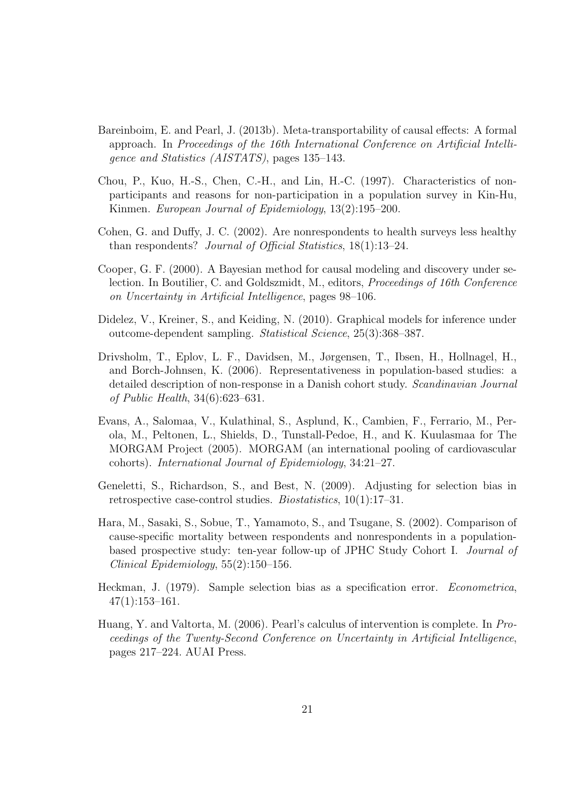- <span id="page-20-4"></span>Bareinboim, E. and Pearl, J. (2013b). Meta-transportability of causal effects: A formal approach. In Proceedings of the 16th International Conference on Artificial Intelligence and Statistics (AISTATS), pages 135–143.
- <span id="page-20-7"></span>Chou, P., Kuo, H.-S., Chen, C.-H., and Lin, H.-C. (1997). Characteristics of nonparticipants and reasons for non-participation in a population survey in Kin-Hu, Kinmen. European Journal of Epidemiology, 13(2):195–200.
- <span id="page-20-9"></span>Cohen, G. and Duffy, J. C. (2002). Are nonrespondents to health surveys less healthy than respondents? Journal of Official Statistics, 18(1):13–24.
- <span id="page-20-1"></span>Cooper, G. F. (2000). A Bayesian method for causal modeling and discovery under selection. In Boutilier, C. and Goldszmidt, M., editors, Proceedings of 16th Conference on Uncertainty in Artificial Intelligence, pages 98–106.
- <span id="page-20-3"></span>Didelez, V., Kreiner, S., and Keiding, N. (2010). Graphical models for inference under outcome-dependent sampling. Statistical Science, 25(3):368–387.
- <span id="page-20-10"></span>Drivsholm, T., Eplov, L. F., Davidsen, M., Jørgensen, T., Ibsen, H., Hollnagel, H., and Borch-Johnsen, K. (2006). Representativeness in population-based studies: a detailed description of non-response in a Danish cohort study. Scandinavian Journal of Public Health, 34(6):623–631.
- <span id="page-20-6"></span>Evans, A., Salomaa, V., Kulathinal, S., Asplund, K., Cambien, F., Ferrario, M., Perola, M., Peltonen, L., Shields, D., Tunstall-Pedoe, H., and K. Kuulasmaa for The MORGAM Project (2005). MORGAM (an international pooling of cardiovascular cohorts). International Journal of Epidemiology, 34:21–27.
- <span id="page-20-2"></span>Geneletti, S., Richardson, S., and Best, N. (2009). Adjusting for selection bias in retrospective case-control studies. Biostatistics, 10(1):17–31.
- <span id="page-20-8"></span>Hara, M., Sasaki, S., Sobue, T., Yamamoto, S., and Tsugane, S. (2002). Comparison of cause-specific mortality between respondents and nonrespondents in a populationbased prospective study: ten-year follow-up of JPHC Study Cohort I. Journal of Clinical Epidemiology, 55(2):150–156.
- <span id="page-20-0"></span>Heckman, J. (1979). Sample selection bias as a specification error. Econometrica, 47(1):153–161.
- <span id="page-20-5"></span>Huang, Y. and Valtorta, M. (2006). Pearl's calculus of intervention is complete. In Proceedings of the Twenty-Second Conference on Uncertainty in Artificial Intelligence, pages 217–224. AUAI Press.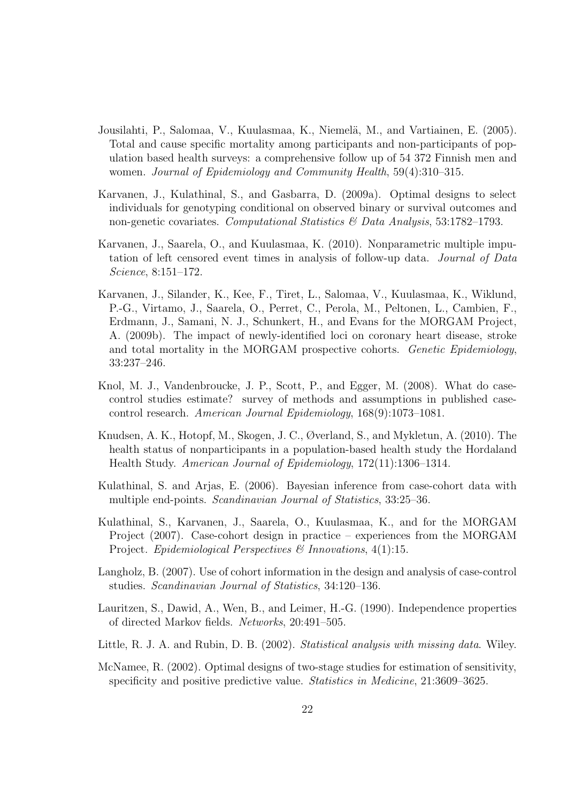- <span id="page-21-7"></span>Jousilahti, P., Salomaa, V., Kuulasmaa, K., Niemelä, M., and Vartiainen, E. (2005). Total and cause specific mortality among participants and non-participants of population based health surveys: a comprehensive follow up of 54 372 Finnish men and women. Journal of Epidemiology and Community Health, 59(4):310–315.
- <span id="page-21-3"></span>Karvanen, J., Kulathinal, S., and Gasbarra, D. (2009a). Optimal designs to select individuals for genotyping conditional on observed binary or survival outcomes and non-genetic covariates. Computational Statistics  $\mathcal{B}$  Data Analysis, 53:1782–1793.
- <span id="page-21-11"></span>Karvanen, J., Saarela, O., and Kuulasmaa, K. (2010). Nonparametric multiple imputation of left censored event times in analysis of follow-up data. Journal of Data Science, 8:151–172.
- <span id="page-21-10"></span>Karvanen, J., Silander, K., Kee, F., Tiret, L., Salomaa, V., Kuulasmaa, K., Wiklund, P.-G., Virtamo, J., Saarela, O., Perret, C., Perola, M., Peltonen, L., Cambien, F., Erdmann, J., Samani, N. J., Schunkert, H., and Evans for the MORGAM Project, A. (2009b). The impact of newly-identified loci on coronary heart disease, stroke and total mortality in the MORGAM prospective cohorts. Genetic Epidemiology, 33:237–246.
- <span id="page-21-6"></span>Knol, M. J., Vandenbroucke, J. P., Scott, P., and Egger, M. (2008). What do casecontrol studies estimate? survey of methods and assumptions in published casecontrol research. American Journal Epidemiology, 168(9):1073–1081.
- <span id="page-21-8"></span>Knudsen, A. K., Hotopf, M., Skogen, J. C., Øverland, S., and Mykletun, A. (2010). The health status of nonparticipants in a population-based health study the Hordaland Health Study. American Journal of Epidemiology, 172(11):1306–1314.
- <span id="page-21-9"></span>Kulathinal, S. and Arjas, E. (2006). Bayesian inference from case-cohort data with multiple end-points. *Scandinavian Journal of Statistics*, 33:25–36.
- <span id="page-21-2"></span>Kulathinal, S., Karvanen, J., Saarela, O., Kuulasmaa, K., and for the MORGAM Project (2007). Case-cohort design in practice – experiences from the MORGAM Project. Epidemiological Perspectives & Innovations, 4(1):15.
- <span id="page-21-1"></span>Langholz, B. (2007). Use of cohort information in the design and analysis of case-control studies. Scandinavian Journal of Statistics, 34:120–136.
- <span id="page-21-5"></span>Lauritzen, S., Dawid, A., Wen, B., and Leimer, H.-G. (1990). Independence properties of directed Markov fields. Networks, 20:491–505.
- <span id="page-21-4"></span>Little, R. J. A. and Rubin, D. B. (2002). Statistical analysis with missing data. Wiley.
- <span id="page-21-0"></span>McNamee, R. (2002). Optimal designs of two-stage studies for estimation of sensitivity, specificity and positive predictive value. Statistics in Medicine, 21:3609–3625.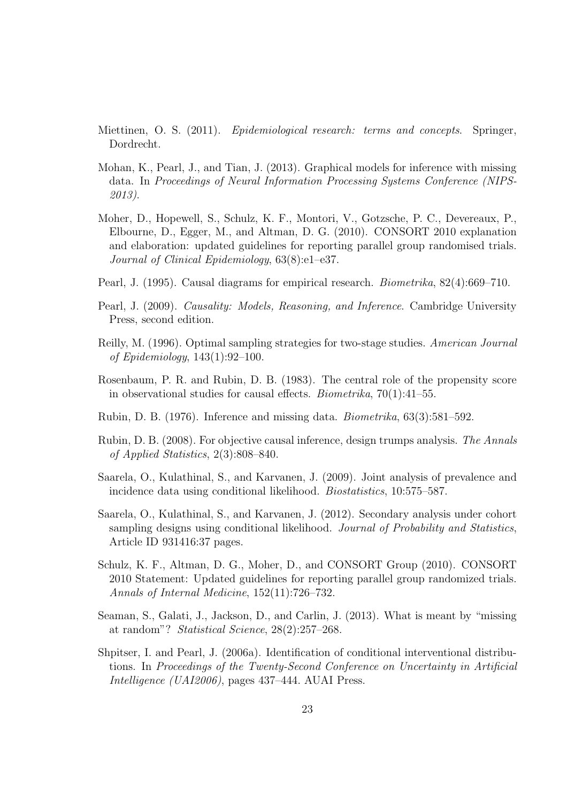- <span id="page-22-8"></span>Miettinen, O. S. (2011). Epidemiological research: terms and concepts. Springer, Dordrecht.
- <span id="page-22-10"></span>Mohan, K., Pearl, J., and Tian, J. (2013). Graphical models for inference with missing data. In Proceedings of Neural Information Processing Systems Conference (NIPS-2013).
- <span id="page-22-6"></span>Moher, D., Hopewell, S., Schulz, K. F., Montori, V., Gotzsche, P. C., Devereaux, P., Elbourne, D., Egger, M., and Altman, D. G. (2010). CONSORT 2010 explanation and elaboration: updated guidelines for reporting parallel group randomised trials. Journal of Clinical Epidemiology, 63(8):e1–e37.
- <span id="page-22-0"></span>Pearl, J. (1995). Causal diagrams for empirical research. Biometrika, 82(4):669–710.
- <span id="page-22-1"></span>Pearl, J. (2009). Causality: Models, Reasoning, and Inference. Cambridge University Press, second edition.
- <span id="page-22-4"></span>Reilly, M. (1996). Optimal sampling strategies for two-stage studies. American Journal of Epidemiology, 143(1):92–100.
- <span id="page-22-3"></span>Rosenbaum, P. R. and Rubin, D. B. (1983). The central role of the propensity score in observational studies for causal effects. Biometrika, 70(1):41–55.
- <span id="page-22-7"></span>Rubin, D. B. (1976). Inference and missing data. Biometrika, 63(3):581–592.
- <span id="page-22-2"></span>Rubin, D. B. (2008). For objective causal inference, design trumps analysis. The Annals of Applied Statistics, 2(3):808–840.
- <span id="page-22-12"></span>Saarela, O., Kulathinal, S., and Karvanen, J. (2009). Joint analysis of prevalence and incidence data using conditional likelihood. Biostatistics, 10:575–587.
- <span id="page-22-13"></span>Saarela, O., Kulathinal, S., and Karvanen, J. (2012). Secondary analysis under cohort sampling designs using conditional likelihood. Journal of Probability and Statistics, Article ID 931416:37 pages.
- <span id="page-22-5"></span>Schulz, K. F., Altman, D. G., Moher, D., and CONSORT Group (2010). CONSORT 2010 Statement: Updated guidelines for reporting parallel group randomized trials. Annals of Internal Medicine, 152(11):726–732.
- <span id="page-22-9"></span>Seaman, S., Galati, J., Jackson, D., and Carlin, J. (2013). What is meant by "missing at random"? Statistical Science, 28(2):257–268.
- <span id="page-22-11"></span>Shpitser, I. and Pearl, J. (2006a). Identification of conditional interventional distributions. In Proceedings of the Twenty-Second Conference on Uncertainty in Artificial Intelligence (UAI2006), pages 437–444. AUAI Press.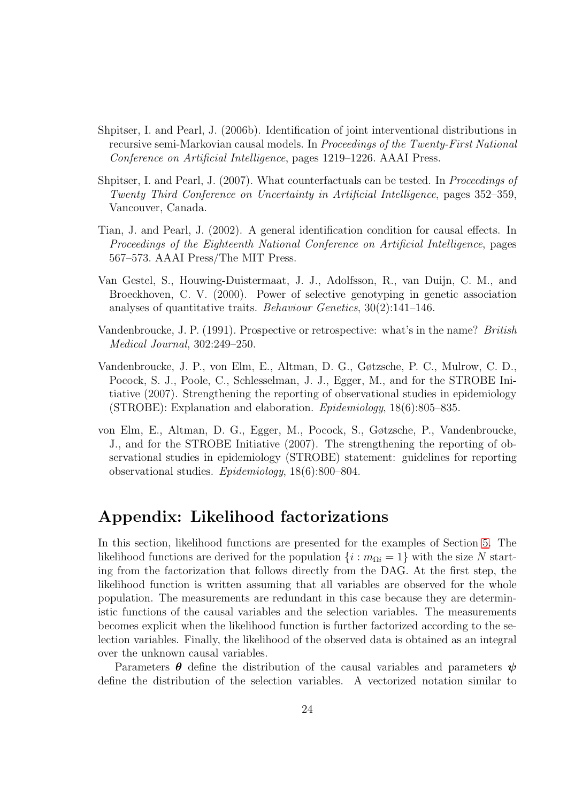- <span id="page-23-5"></span>Shpitser, I. and Pearl, J. (2006b). Identification of joint interventional distributions in recursive semi-Markovian causal models. In *Proceedings of the Twenty-First National* Conference on Artificial Intelligence, pages 1219–1226. AAAI Press.
- <span id="page-23-3"></span>Shpitser, I. and Pearl, J. (2007). What counterfactuals can be tested. In Proceedings of Twenty Third Conference on Uncertainty in Artificial Intelligence, pages 352–359, Vancouver, Canada.
- <span id="page-23-4"></span>Tian, J. and Pearl, J. (2002). A general identification condition for causal effects. In Proceedings of the Eighteenth National Conference on Artificial Intelligence, pages 567–573. AAAI Press/The MIT Press.
- <span id="page-23-0"></span>Van Gestel, S., Houwing-Duistermaat, J. J., Adolfsson, R., van Duijn, C. M., and Broeckhoven, C. V. (2000). Power of selective genotyping in genetic association analyses of quantitative traits. Behaviour Genetics, 30(2):141–146.
- <span id="page-23-6"></span>Vandenbroucke, J. P. (1991). Prospective or retrospective: what's in the name? British Medical Journal, 302:249–250.
- <span id="page-23-2"></span>Vandenbroucke, J. P., von Elm, E., Altman, D. G., Gøtzsche, P. C., Mulrow, C. D., Pocock, S. J., Poole, C., Schlesselman, J. J., Egger, M., and for the STROBE Initiative (2007). Strengthening the reporting of observational studies in epidemiology (STROBE): Explanation and elaboration. Epidemiology, 18(6):805–835.
- <span id="page-23-1"></span>von Elm, E., Altman, D. G., Egger, M., Pocock, S., Gøtzsche, P., Vandenbroucke, J., and for the STROBE Initiative (2007). The strengthening the reporting of observational studies in epidemiology (STROBE) statement: guidelines for reporting observational studies. Epidemiology, 18(6):800–804.

#### Appendix: Likelihood factorizations

In this section, likelihood functions are presented for the examples of Section [5.](#page-12-0) The likelihood functions are derived for the population  $\{i : m_{\Omega} = 1\}$  with the size N starting from the factorization that follows directly from the DAG. At the first step, the likelihood function is written assuming that all variables are observed for the whole population. The measurements are redundant in this case because they are deterministic functions of the causal variables and the selection variables. The measurements becomes explicit when the likelihood function is further factorized according to the selection variables. Finally, the likelihood of the observed data is obtained as an integral over the unknown causal variables.

Parameters  $\theta$  define the distribution of the causal variables and parameters  $\psi$ define the distribution of the selection variables. A vectorized notation similar to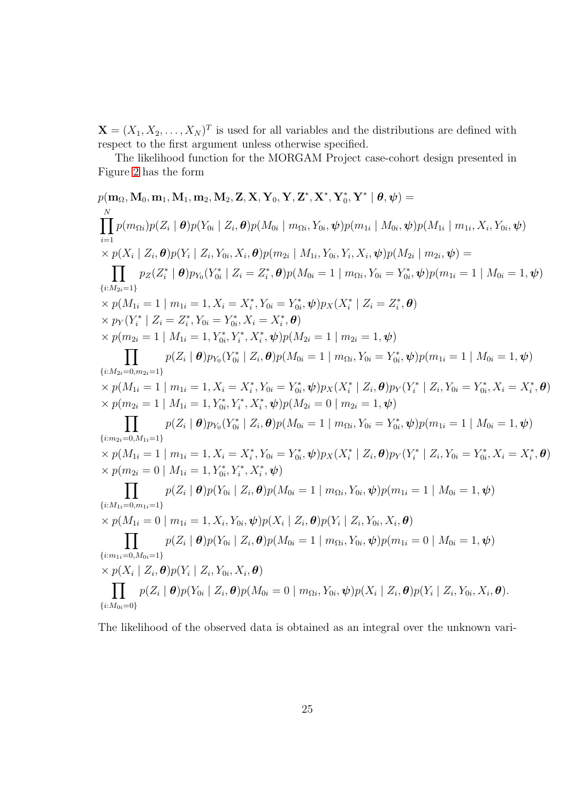$\mathbf{X} = (X_1, X_2, \dots, X_N)^T$  is used for all variables and the distributions are defined with respect to the first argument unless otherwise specified.

The likelihood function for the MORGAM Project case-cohort design presented in Figure [2](#page-16-1) has the form

 $p(\mathbf{m}_\Omega, \mathbf{M}_0, \mathbf{m}_1, \mathbf{M}_1, \mathbf{m}_2, \mathbf{M}_2, \mathbf{Z}, \mathbf{X}, \mathbf{Y}_0, \mathbf{Y}, \mathbf{Z}^*, \mathbf{X}^*, \mathbf{Y}_0^*, \mathbf{Y}^* \mid \boldsymbol{\theta}, \boldsymbol{\psi}) =$  $\Pi$ N  $i=1$  $p(m_{\Omega i})p(Z_i \mid \boldsymbol{\theta})p(Y_{0i} \mid Z_i, \boldsymbol{\theta})p(M_{0i} \mid m_{\Omega i}, Y_{0i}, \boldsymbol{\psi})p(m_{1i} \mid M_{0i}, \boldsymbol{\psi})p(M_{1i} \mid m_{1i}, X_i, Y_{0i}, \boldsymbol{\psi})$  $\int \propto p(X_i \mid Z_i, \boldsymbol{\theta}) p(Y_i \mid Z_i, Y_{0i}, X_i, \boldsymbol{\theta}) p(m_{2i} \mid M_{1i}, Y_{0i}, Y_i, X_i, \boldsymbol{\psi}) p(M_{2i} \mid m_{2i}, \boldsymbol{\psi}) = 0$  $\mathbf{H}$  $\{i:\overline{M_{2i}}=1\}$  $p_Z(Z_i^* | \boldsymbol{\theta}) p_{Y_0}(Y_{0i}^* | Z_i = Z_i^*, \boldsymbol{\theta}) p(M_{0i} = 1 | m_{\Omega i}, Y_{0i} = Y_{0i}^*, \boldsymbol{\psi}) p(m_{1i} = 1 | M_{0i} = 1, \boldsymbol{\psi})$  $x \propto p(M_{1i} = 1 \mid m_{1i} = 1, X_i = X_i^*, Y_{0i} = Y_{0i}^*, \psi)p_X(X_i^* \mid Z_i = Z_i^*, \theta)$  $\times p_Y(Y_i^* | Z_i = Z_i^*, Y_{0i} = Y_{0i}^*, X_i = X_i^*, \theta)$  $\times p(m_{2i} = 1 | M_{1i} = 1, Y_{0i}^*, Y_i^*, X_i^*, \psi)p(M_{2i} = 1 | m_{2i} = 1, \psi)$  $\Pi$  ${i:M_{2i}=0,m_{2i}=1}$  $p(Z_i \mid \boldsymbol{\theta}) p_{Y_0}(Y_{0i}^* \mid Z_i, \boldsymbol{\theta}) p(M_{0i} = 1 \mid m_{\Omega i}, Y_{0i} = Y_{0i}^*, \boldsymbol{\psi}) p(m_{1i} = 1 \mid M_{0i} = 1, \boldsymbol{\psi})$  $x \in \mathcal{P}(M_{1i} = 1 \mid m_{1i} = 1, X_i = X_i^*, Y_{0i} = Y_{0i}^*, \psi) p_X(X_i^* \mid Z_i, \boldsymbol{\theta}) p_Y(Y_i^* \mid Z_i, Y_{0i} = Y_{0i}^*, X_i = X_i^*, \boldsymbol{\theta})$  $\times p(m_{2i} = 1 | M_{1i} = 1, Y_{0i}^*, Y_i^*, X_i^*, \psi)p(M_{2i} = 0 | m_{2i} = 1, \psi)$  $\mathbf{H}$  $\{i: m_{2i}=0,M_{1i}=1\}$  $p(Z_i \mid \boldsymbol{\theta}) p_{Y_0}(Y_{0i}^* \mid Z_i, \boldsymbol{\theta}) p(M_{0i} = 1 \mid m_{\Omega i}, Y_{0i} = Y_{0i}^*, \boldsymbol{\psi}) p(m_{1i} = 1 \mid M_{0i} = 1, \boldsymbol{\psi})$  $x \in \mathcal{P}(M_{1i} = 1 \mid m_{1i} = 1, X_i = X_i^*, Y_{0i} = Y_{0i}^*, \psi) p_X(X_i^* \mid Z_i, \boldsymbol{\theta}) p_Y(Y_i^* \mid Z_i, Y_{0i} = Y_{0i}^*, X_i = X_i^*, \boldsymbol{\theta})$  $\times p(m_{2i} = 0 \mid M_{1i} = 1, Y_{0i}^*, Y_i^*, X_i^*, \psi)$  $\prod_{p(Z_i \mid \boldsymbol{\theta})} p(Z_i \mid \boldsymbol{\theta}) p(Y_{0i} \mid Z_i, \boldsymbol{\theta}) p(M_{0i} = 1 \mid m_{\Omega i}, Y_{0i}, \boldsymbol{\psi}) p(m_{1i} = 1 \mid M_{0i} = 1, \boldsymbol{\psi})$  ${i:M_{1i}=0,m_{1i}=1}$  $x \in p(M_{1i} = 0 \mid m_{1i} = 1, X_i, Y_{0i}, \psi)p(X_i \mid Z_i, \theta)p(Y_i \mid Z_i, Y_{0i}, X_i, \theta)$  $\Pi$  $\{i:m_{1i}=0,M_{0i}=1\}$  $p(Z_i \mid \boldsymbol{\theta}) p(Y_{0i} \mid Z_i, \boldsymbol{\theta}) p(M_{0i} = 1 \mid m_{\Omega i}, Y_{0i}, \boldsymbol{\psi}) p(m_{1i} = 0 \mid M_{0i} = 1, \boldsymbol{\psi})$  $\times p(X_i | Z_i, \boldsymbol{\theta}) p(Y_i | Z_i, Y_{0i}, X_i, \boldsymbol{\theta})$  $\prod p(Z_i | \boldsymbol{\theta}) p(Y_{0i} | Z_i, \boldsymbol{\theta}) p(M_{0i} = 0 | m_{\Omega i}, Y_{0i}, \boldsymbol{\psi}) p(X_i | Z_i, \boldsymbol{\theta}) p(Y_i | Z_i, Y_{0i}, X_i, \boldsymbol{\theta}).$  ${i: M_{0i}=0}$ 

The likelihood of the observed data is obtained as an integral over the unknown vari-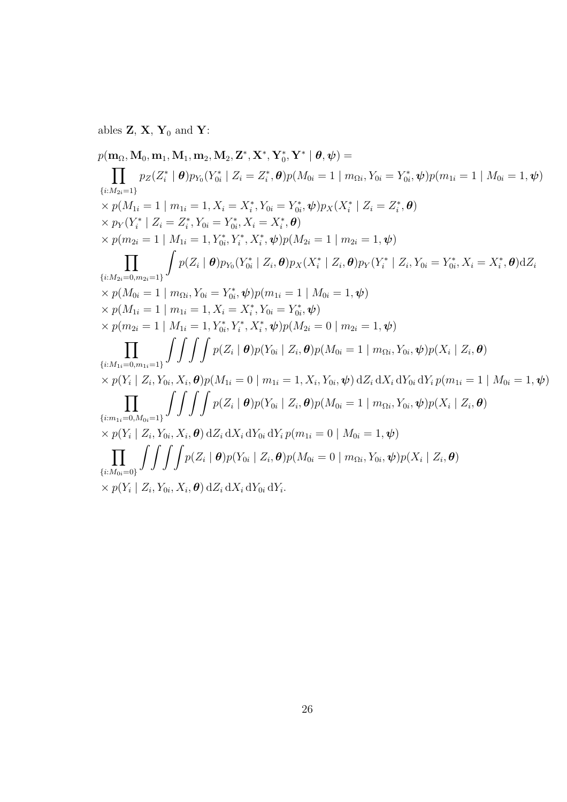ables  $\mathbf{Z}, \mathbf{X}, \mathbf{Y}_0$  and  $\mathbf{Y}$ :

 $p(\mathbf{m}_\Omega, \mathbf{M}_0, \mathbf{m}_1, \mathbf{M}_1, \mathbf{m}_2, \mathbf{M}_2, \mathbf{Z}^*, \mathbf{X}^*, \mathbf{Y}_0^*, \mathbf{Y}^* \mid \boldsymbol{\theta}, \boldsymbol{\psi}) =$  $\prod_{i} p_Z(Z_i^* \mid \bm{\theta}) p_{Y_0}(Y_{0i}^* \mid Z_i = Z_i^*, \bm{\theta}) p(M_{0i} = 1 \mid m_{\Omega i}, Y_{0i} = Y_{0i}^*, \bm{\psi}) p(m_{1i} = 1 \mid M_{0i} = 1, \bm{\psi})$  ${i: M_{2i}=1}$  $x \not\equiv p(M_{1i} = 1 \mid m_{1i} = 1, X_i = X_i^*, Y_{0i} = Y_{0i}^*, \psi)p_X(X_i^* \mid Z_i = Z_i^*, \theta)$  $\times p_Y(Y_i^* | Z_i = Z_i^*, Y_{0i} = Y_{0i}^*, X_i = X_i^*, \theta)$  $\times p(m_{2i} = 1 | M_{1i} = 1, Y_{0i}^*, Y_i^*, X_i^*, \psi)p(M_{2i} = 1 | m_{2i} = 1, \psi)$  $\Pi$  $\{i:M_{2i}=0,m_{2i}=1\}$  $\int p(Z_i | \boldsymbol{\theta}) p_{Y_0}(Y_{0i}^* | Z_i, \boldsymbol{\theta}) p_X(X_i^* | Z_i, \boldsymbol{\theta}) p_Y(Y_i^* | Z_i, Y_{0i} = Y_{0i}^*, X_i = X_i^*, \boldsymbol{\theta}) \mathrm{d}Z_i$  $\times p(M_{0i} = 1 | m_{\Omega i}, Y_{0i} = Y_{0i}^*, \psi)p(m_{1i} = 1 | M_{0i} = 1, \psi)$  $x \times p(M_{1i} = 1 \mid m_{1i} = 1, X_i = X_i^*, Y_{0i} = Y_{0i}^*, \psi)$  $\times p(m_{2i} = 1 | M_{1i} = 1, Y_{0i}^*, Y_i^*, X_i^*, \psi)p(M_{2i} = 0 | m_{2i} = 1, \psi)$  $\Pi$  $\{i:M_{1i}=0,m_{1i}=1\}$  $\int \int \int \int p(Z_i | \boldsymbol{\theta}) p(Y_{0i} | Z_i, \boldsymbol{\theta}) p(M_{0i} = 1 | m_{\Omega i}, Y_{0i}, \boldsymbol{\psi}) p(X_i | Z_i, \boldsymbol{\theta})$  $x \propto p(Y_i \mid Z_i, Y_{0i}, X_i, \boldsymbol{\theta}) p(M_{1i} = 0 \mid m_{1i} = 1, X_i, Y_{0i}, \boldsymbol{\psi}) dZ_i dX_i dY_{0i} dY_i p(m_{1i} = 1 \mid M_{0i} = 1, \boldsymbol{\psi})$  $\Pi$  $\{i:m_{1i}=0,M_{0i}=1\}$  $\int \int \int \int p(Z_i | \boldsymbol{\theta}) p(Y_{0i} | Z_i, \boldsymbol{\theta}) p(M_{0i} = 1 | m_{\Omega i}, Y_{0i}, \boldsymbol{\psi}) p(X_i | Z_i, \boldsymbol{\theta})$  $\times p(Y_i \mid Z_i, Y_{0i}, X_i, \boldsymbol{\theta}) dZ_i dX_i dY_{0i} dY_i p(m_{1i} = 0 \mid M_{0i} = 1, \boldsymbol{\psi})$  $\Pi$  $\{i:M_{0i}=0\}$  $\int \int \int \int p(Z_i \mid \boldsymbol{\theta}) p(Y_{0i} \mid Z_i, \boldsymbol{\theta}) p(M_{0i} = 0 \mid m_{\Omega i}, Y_{0i}, \boldsymbol{\psi}) p(X_i \mid Z_i, \boldsymbol{\theta})$  $\times p(Y_i \mid Z_i, Y_{0i}, X_i, \boldsymbol{\theta}) \, dZ_i \, dX_i \, dY_{0i} \, dY_i.$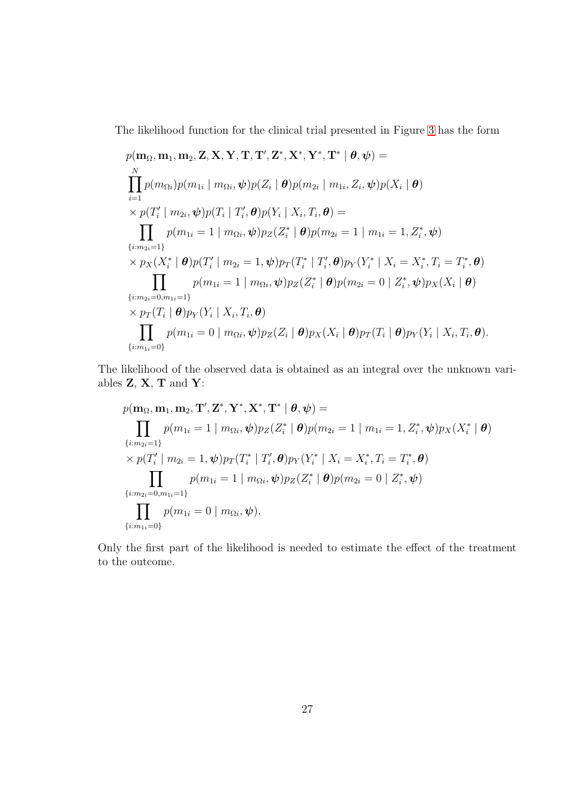The likelihood function for the clinical trial presented in Figure [3](#page-17-0) has the form

$$
p(\mathbf{m}_{\Omega}, \mathbf{m}_{1}, \mathbf{m}_{2}, \mathbf{Z}, \mathbf{X}, \mathbf{Y}, \mathbf{T}, \mathbf{T}', \mathbf{Z}^{*}, \mathbf{X}^{*}, \mathbf{Y}^{*}, \mathbf{T}^{*} | \theta, \psi) =
$$
\n
$$
\prod_{i=1}^{N} p(m_{\Omega i}) p(m_{1i} | m_{\Omega i}, \psi) p(Z_{i} | \theta) p(m_{2i} | m_{1i}, Z_{i}, \psi) p(X_{i} | \theta)
$$
\n
$$
\times p(T'_{i} | m_{2i}, \psi) p(T_{i} | T'_{i}, \theta) p(Y_{i} | X_{i}, T_{i}, \theta) =
$$
\n
$$
\prod_{\{i:m_{2i}=1\}} p(m_{1i} = 1 | m_{\Omega i}, \psi) p_{Z}(Z_{i}^{*} | \theta) p(m_{2i} = 1 | m_{1i} = 1, Z_{i}^{*}, \psi)
$$
\n
$$
\{i:m_{2i}=1\}
$$
\n
$$
\times p_{X}(X_{i}^{*} | \theta) p(T'_{i} | m_{2i} = 1, \psi) p_{T}(T_{i}^{*} | T'_{i}, \theta) p_{Y}(Y_{i}^{*} | X_{i} = X_{i}^{*}, T_{i} = T_{i}^{*}, \theta)
$$
\n
$$
\prod_{\{i:m_{2i}=0, m_{1i}=1\}} p(m_{1i} = 1 | m_{\Omega i}, \psi) p_{Z}(Z_{i}^{*} | \theta) p(m_{2i} = 0 | Z_{i}^{*}, \psi) p_{X}(X_{i} | \theta)
$$
\n
$$
\{i:m_{2i}=0, m_{1i}=1\}
$$
\n
$$
\times p_{T}(T_{i} | \theta) p_{Y}(Y_{i} | X_{i}, T_{i}, \theta)
$$
\n
$$
\prod_{\{i:m_{1i}=0\}} p(m_{1i} = 0 | m_{\Omega i}, \psi) p_{Z}(Z_{i} | \theta) p_{X}(X_{i} | \theta) p_{T}(T_{i} | \theta) p_{Y}(Y_{i} | X_{i}, T_{i}, \theta).
$$

The likelihood of the observed data is obtained as an integral over the unknown variables  $Z, X, T$  and  $Y$ :

$$
p(\mathbf{m}_{\Omega}, \mathbf{m}_{1}, \mathbf{m}_{2}, \mathbf{T}', \mathbf{Z}^{*}, \mathbf{Y}^{*}, \mathbf{X}^{*}, \mathbf{T}^{*} | \theta, \psi) =
$$
\n
$$
\prod_{\{i:m_{2i}=1\}} p(m_{1i} = 1 | m_{\Omega i}, \psi) p_{Z}(Z_{i}^{*} | \theta) p(m_{2i} = 1 | m_{1i} = 1, Z_{i}^{*}, \psi) p_{X}(X_{i}^{*} | \theta)
$$
\n
$$
\times p(T_{i}' | m_{2i} = 1, \psi) p_{T}(T_{i}^{*} | T_{i}', \theta) p_{Y}(Y_{i}^{*} | X_{i} = X_{i}^{*}, T_{i} = T_{i}^{*}, \theta)
$$
\n
$$
\prod_{\{i:m_{2i}=0, m_{1i}=1\}} p(m_{1i} = 1 | m_{\Omega i}, \psi) p_{Z}(Z_{i}^{*} | \theta) p(m_{2i} = 0 | Z_{i}^{*}, \psi)
$$
\n
$$
\prod_{\{i:m_{1i}=0\}} p(m_{1i} = 0 | m_{\Omega i}, \psi).
$$

Only the first part of the likelihood is needed to estimate the effect of the treatment to the outcome.